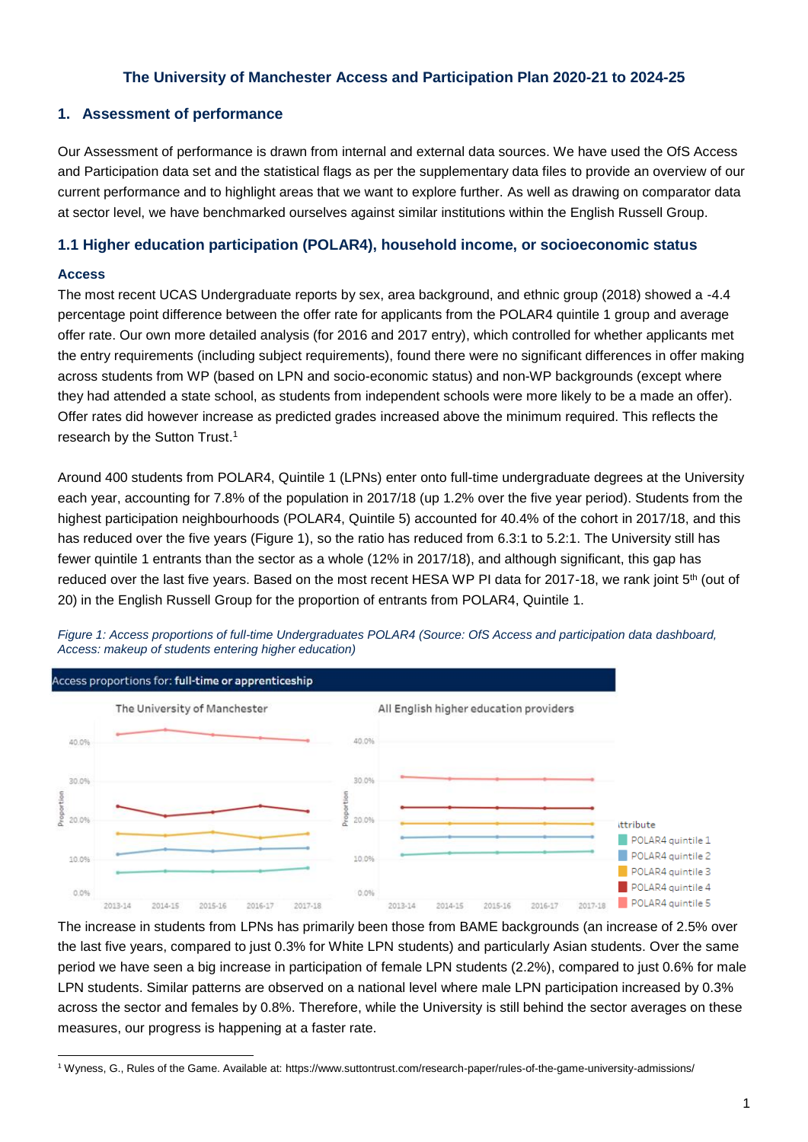# **The University of Manchester Access and Participation Plan 2020-21 to 2024-25**

# **1. Assessment of performance**

Our Assessment of performance is drawn from internal and external data sources. We have used the OfS Access and Participation data set and the statistical flags as per the supplementary data files to provide an overview of our current performance and to highlight areas that we want to explore further. As well as drawing on comparator data at sector level, we have benchmarked ourselves against similar institutions within the English Russell Group.

## **1.1 Higher education participation (POLAR4), household income, or socioeconomic status**

### **Access**

 $\overline{a}$ 

The most recent UCAS Undergraduate reports by sex, area background, and ethnic group (2018) showed a -4.4 percentage point difference between the offer rate for applicants from the POLAR4 quintile 1 group and average offer rate. Our own more detailed analysis (for 2016 and 2017 entry), which controlled for whether applicants met the entry requirements (including subject requirements), found there were no significant differences in offer making across students from WP (based on LPN and socio-economic status) and non-WP backgrounds (except where they had attended a state school, as students from independent schools were more likely to be a made an offer). Offer rates did however increase as predicted grades increased above the minimum required. This reflects the research by the Sutton Trust. 1

Around 400 students from POLAR4, Quintile 1 (LPNs) enter onto full-time undergraduate degrees at the University each year, accounting for 7.8% of the population in 2017/18 (up 1.2% over the five year period). Students from the highest participation neighbourhoods (POLAR4, Quintile 5) accounted for 40.4% of the cohort in 2017/18, and this has reduced over the five years (Figure 1), so the ratio has reduced from 6.3:1 to 5.2:1. The University still has fewer quintile 1 entrants than the sector as a whole (12% in 2017/18), and although significant, this gap has reduced over the last five years. Based on the most recent HESA WP PI data for 2017-18, we rank joint 5<sup>th</sup> (out of 20) in the English Russell Group for the proportion of entrants from POLAR4, Quintile 1.



*Figure 1: Access proportions of full-time Undergraduates POLAR4 (Source: OfS Access and participation data dashboard, Access: makeup of students entering higher education)*

The increase in students from LPNs has primarily been those from BAME backgrounds (an increase of 2.5% over the last five years, compared to just 0.3% for White LPN students) and particularly Asian students. Over the same period we have seen a big increase in participation of female LPN students (2.2%), compared to just 0.6% for male LPN students. Similar patterns are observed on a national level where male LPN participation increased by 0.3% across the sector and females by 0.8%. Therefore, while the University is still behind the sector averages on these measures, our progress is happening at a faster rate.

<sup>1</sup> Wyness, G., Rules of the Game. Available at[: https://www.suttontrust.com/research-paper/rules-of-the-game-university-admissions/](https://www.suttontrust.com/research-paper/rules-of-the-game-university-admissions/)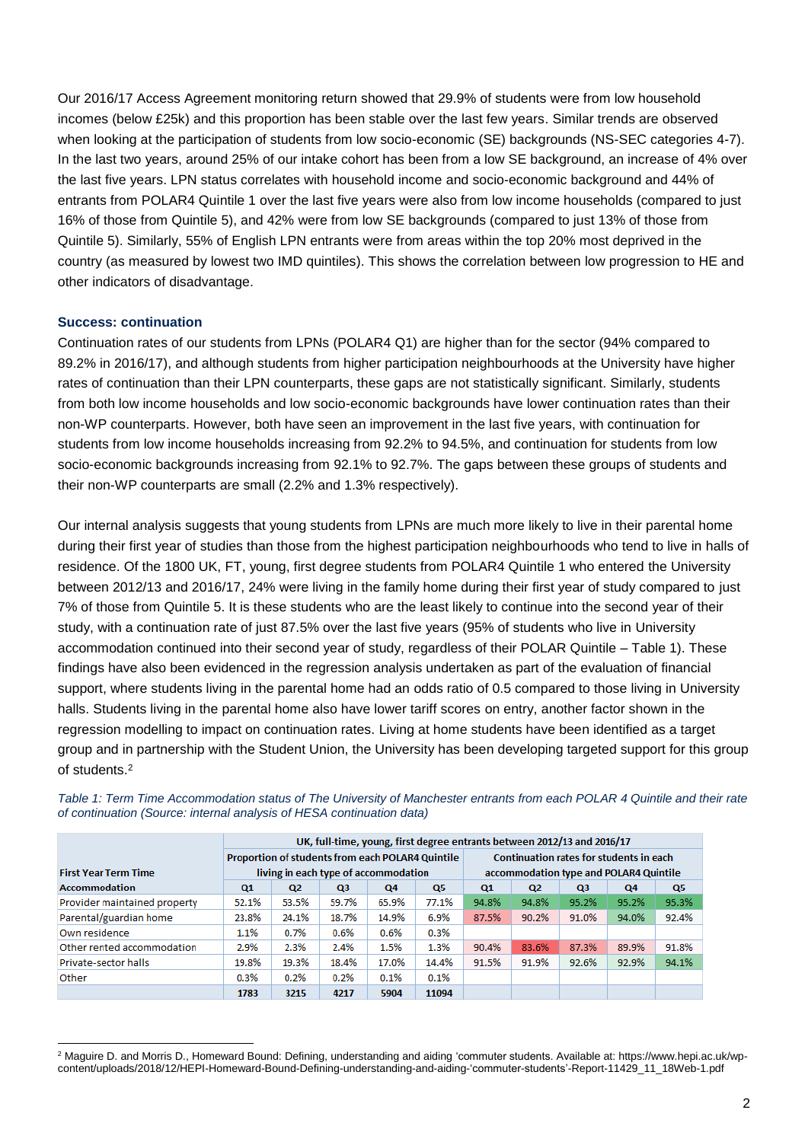Our 2016/17 Access Agreement monitoring return showed that 29.9% of students were from low household incomes (below £25k) and this proportion has been stable over the last few years. Similar trends are observed when looking at the participation of students from low socio-economic (SE) backgrounds (NS-SEC categories 4-7). In the last two years, around 25% of our intake cohort has been from a low SE background, an increase of 4% over the last five years. LPN status correlates with household income and socio-economic background and 44% of entrants from POLAR4 Quintile 1 over the last five years were also from low income households (compared to just 16% of those from Quintile 5), and 42% were from low SE backgrounds (compared to just 13% of those from Quintile 5). Similarly, 55% of English LPN entrants were from areas within the top 20% most deprived in the country (as measured by lowest two IMD quintiles). This shows the correlation between low progression to HE and other indicators of disadvantage.

### **Success: continuation**

Continuation rates of our students from LPNs (POLAR4 Q1) are higher than for the sector (94% compared to 89.2% in 2016/17), and although students from higher participation neighbourhoods at the University have higher rates of continuation than their LPN counterparts, these gaps are not statistically significant. Similarly, students from both low income households and low socio-economic backgrounds have lower continuation rates than their non-WP counterparts. However, both have seen an improvement in the last five years, with continuation for students from low income households increasing from 92.2% to 94.5%, and continuation for students from low socio-economic backgrounds increasing from 92.1% to 92.7%. The gaps between these groups of students and their non-WP counterparts are small (2.2% and 1.3% respectively).

Our internal analysis suggests that young students from LPNs are much more likely to live in their parental home during their first year of studies than those from the highest participation neighbourhoods who tend to live in halls of residence. Of the 1800 UK, FT, young, first degree students from POLAR4 Quintile 1 who entered the University between 2012/13 and 2016/17, 24% were living in the family home during their first year of study compared to just 7% of those from Quintile 5. It is these students who are the least likely to continue into the second year of their study, with a continuation rate of just 87.5% over the last five years (95% of students who live in University accommodation continued into their second year of study, regardless of their POLAR Quintile – Table 1). These findings have also been evidenced in the regression analysis undertaken as part of the evaluation of financial support, where students living in the parental home had an odds ratio of 0.5 compared to those living in University halls. Students living in the parental home also have lower tariff scores on entry, another factor shown in the regression modelling to impact on continuation rates. Living at home students have been identified as a target group and in partnership with the Student Union, the University has been developing targeted support for this group of students.<sup>2</sup>

|                              | UK, full-time, young, first degree entrants between 2012/13 and 2016/17 |                                      |                |                                                |                                        |       |                |                |       |       |
|------------------------------|-------------------------------------------------------------------------|--------------------------------------|----------------|------------------------------------------------|----------------------------------------|-------|----------------|----------------|-------|-------|
|                              | Proportion of students from each POLAR4 Quintile                        |                                      |                | <b>Continuation rates for students in each</b> |                                        |       |                |                |       |       |
| <b>First Year Term Time</b>  |                                                                         | living in each type of accommodation |                |                                                | accommodation type and POLAR4 Quintile |       |                |                |       |       |
| <b>Accommodation</b>         | Q1                                                                      | Q <sub>2</sub>                       | Q <sub>3</sub> | Q4                                             | Q5                                     | Q1    | Q <sub>2</sub> | Q <sub>3</sub> | Q4    | Q5    |
| Provider maintained property | 52.1%                                                                   | 53.5%                                | 59.7%          | 65.9%                                          | 77.1%                                  | 94.8% | 94.8%          | 95.2%          | 95.2% | 95.3% |
| Parental/guardian home       | 23.8%                                                                   | 24.1%                                | 18.7%          | 14.9%                                          | 6.9%                                   | 87.5% | 90.2%          | 91.0%          | 94.0% | 92.4% |
| Own residence                | 1.1%                                                                    | 0.7%                                 | 0.6%           | 0.6%                                           | 0.3%                                   |       |                |                |       |       |
| Other rented accommodation   | 2.9%                                                                    | 2.3%                                 | 2.4%           | 1.5%                                           | 1.3%                                   | 90.4% | 83.6%          | 87.3%          | 89.9% | 91.8% |
| Private-sector halls         | 19.8%                                                                   | 19.3%                                | 18.4%          | 17.0%                                          | 14.4%                                  | 91.5% | 91.9%          | 92.6%          | 92.9% | 94.1% |
| Other                        | 0.3%                                                                    | 0.2%                                 | 0.2%           | 0.1%                                           | 0.1%                                   |       |                |                |       |       |
|                              | 1783                                                                    | 3215                                 | 4217           | 5904                                           | 11094                                  |       |                |                |       |       |

*Table 1: Term Time Accommodation status of The University of Manchester entrants from each POLAR 4 Quintile and their rate of continuation (Source: internal analysis of HESA continuation data)*

 $\overline{a}$ <sup>2</sup> Maguire D. and Morris D., Homeward Bound: Defining, understanding and aiding 'commuter students. Available at: [https://www.hepi.ac.uk/wp](https://www.hepi.ac.uk/wp-content/uploads/2018/12/HEPI-Homeward-Bound-Defining-understanding-and-aiding-)[content/uploads/2018/12/HEPI-Homeward-Bound-Defining-understanding-and-aiding-'commuter-students'-Report-11429\\_11\\_18Web-1.pdf](https://www.hepi.ac.uk/wp-content/uploads/2018/12/HEPI-Homeward-Bound-Defining-understanding-and-aiding-)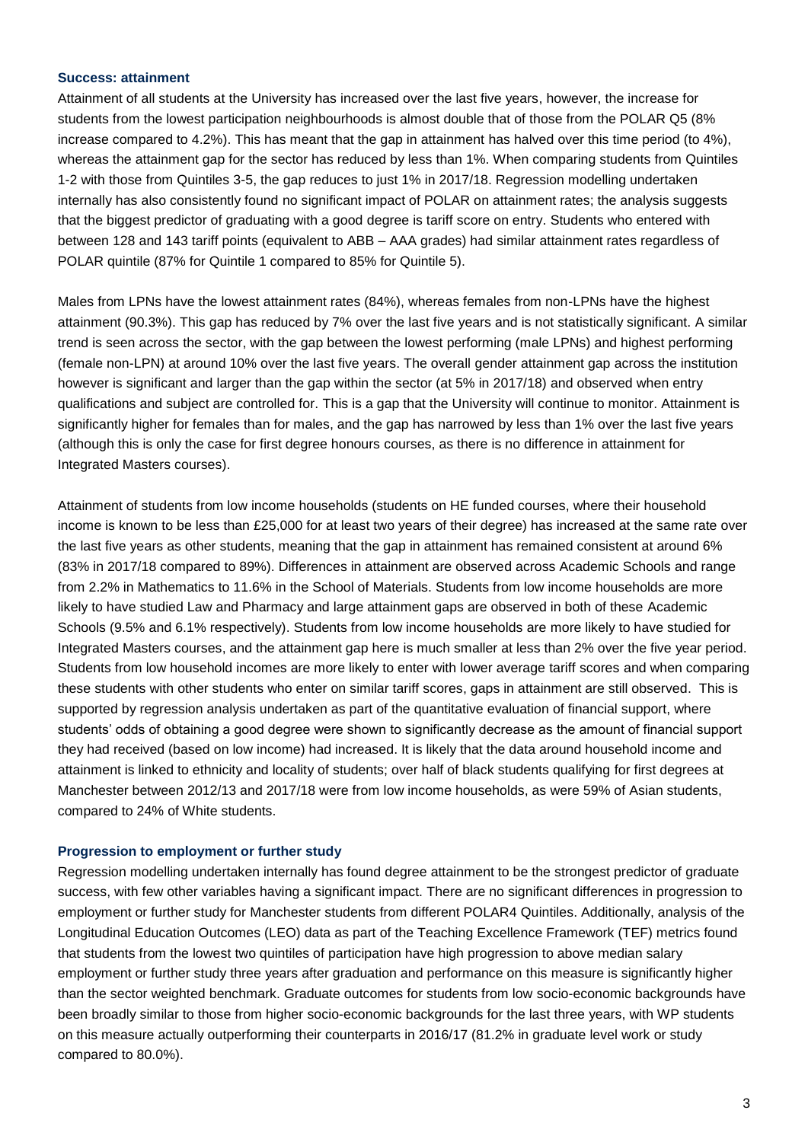#### **Success: attainment**

Attainment of all students at the University has increased over the last five years, however, the increase for students from the lowest participation neighbourhoods is almost double that of those from the POLAR Q5 (8% increase compared to 4.2%). This has meant that the gap in attainment has halved over this time period (to 4%), whereas the attainment gap for the sector has reduced by less than 1%. When comparing students from Quintiles 1-2 with those from Quintiles 3-5, the gap reduces to just 1% in 2017/18. Regression modelling undertaken internally has also consistently found no significant impact of POLAR on attainment rates; the analysis suggests that the biggest predictor of graduating with a good degree is tariff score on entry. Students who entered with between 128 and 143 tariff points (equivalent to ABB – AAA grades) had similar attainment rates regardless of POLAR quintile (87% for Quintile 1 compared to 85% for Quintile 5).

Males from LPNs have the lowest attainment rates (84%), whereas females from non-LPNs have the highest attainment (90.3%). This gap has reduced by 7% over the last five years and is not statistically significant. A similar trend is seen across the sector, with the gap between the lowest performing (male LPNs) and highest performing (female non-LPN) at around 10% over the last five years. The overall gender attainment gap across the institution however is significant and larger than the gap within the sector (at 5% in 2017/18) and observed when entry qualifications and subject are controlled for. This is a gap that the University will continue to monitor. Attainment is significantly higher for females than for males, and the gap has narrowed by less than 1% over the last five years (although this is only the case for first degree honours courses, as there is no difference in attainment for Integrated Masters courses).

Attainment of students from low income households (students on HE funded courses, where their household income is known to be less than £25,000 for at least two years of their degree) has increased at the same rate over the last five years as other students, meaning that the gap in attainment has remained consistent at around 6% (83% in 2017/18 compared to 89%). Differences in attainment are observed across Academic Schools and range from 2.2% in Mathematics to 11.6% in the School of Materials. Students from low income households are more likely to have studied Law and Pharmacy and large attainment gaps are observed in both of these Academic Schools (9.5% and 6.1% respectively). Students from low income households are more likely to have studied for Integrated Masters courses, and the attainment gap here is much smaller at less than 2% over the five year period. Students from low household incomes are more likely to enter with lower average tariff scores and when comparing these students with other students who enter on similar tariff scores, gaps in attainment are still observed. This is supported by regression analysis undertaken as part of the quantitative evaluation of financial support, where students' odds of obtaining a good degree were shown to significantly decrease as the amount of financial support they had received (based on low income) had increased. It is likely that the data around household income and attainment is linked to ethnicity and locality of students; over half of black students qualifying for first degrees at Manchester between 2012/13 and 2017/18 were from low income households, as were 59% of Asian students, compared to 24% of White students.

#### **Progression to employment or further study**

Regression modelling undertaken internally has found degree attainment to be the strongest predictor of graduate success, with few other variables having a significant impact. There are no significant differences in progression to employment or further study for Manchester students from different POLAR4 Quintiles. Additionally, analysis of the Longitudinal Education Outcomes (LEO) data as part of the Teaching Excellence Framework (TEF) metrics found that students from the lowest two quintiles of participation have high progression to above median salary employment or further study three years after graduation and performance on this measure is significantly higher than the sector weighted benchmark. Graduate outcomes for students from low socio-economic backgrounds have been broadly similar to those from higher socio-economic backgrounds for the last three years, with WP students on this measure actually outperforming their counterparts in 2016/17 (81.2% in graduate level work or study compared to 80.0%).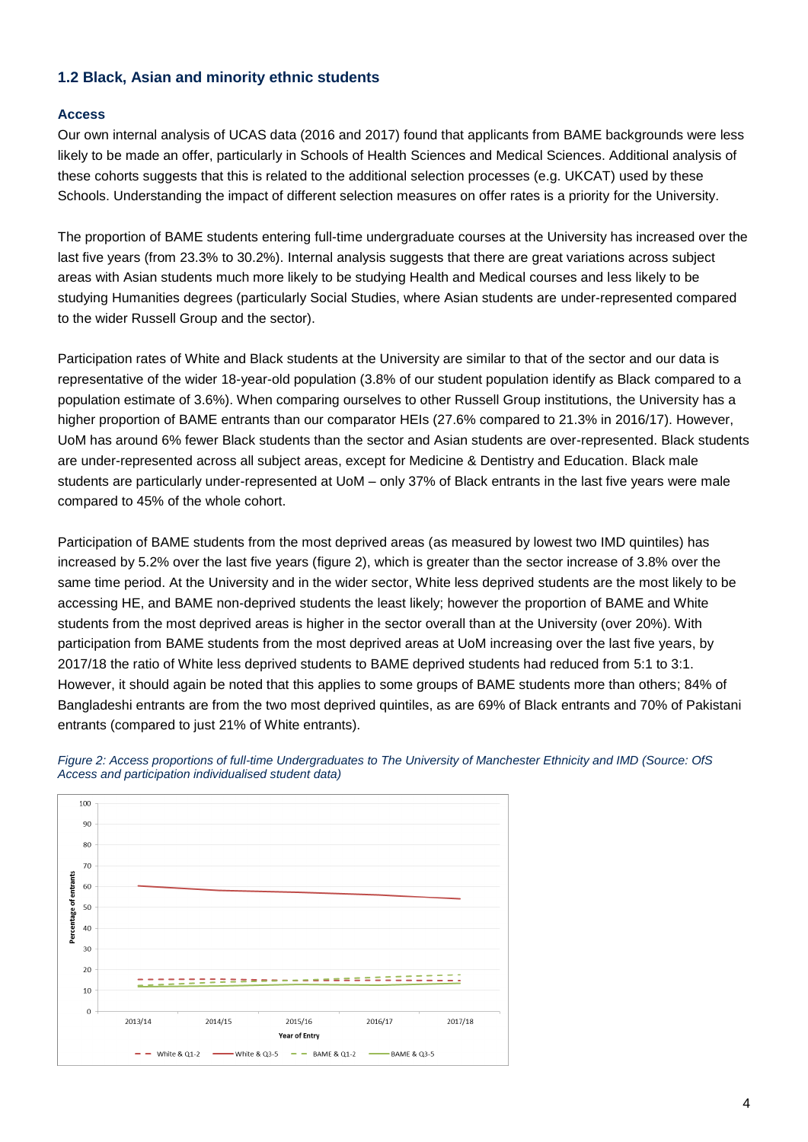# **1.2 Black, Asian and minority ethnic students**

## **Access**

Our own internal analysis of UCAS data (2016 and 2017) found that applicants from BAME backgrounds were less likely to be made an offer, particularly in Schools of Health Sciences and Medical Sciences. Additional analysis of these cohorts suggests that this is related to the additional selection processes (e.g. UKCAT) used by these Schools. Understanding the impact of different selection measures on offer rates is a priority for the University.

The proportion of BAME students entering full-time undergraduate courses at the University has increased over the last five years (from 23.3% to 30.2%). Internal analysis suggests that there are great variations across subject areas with Asian students much more likely to be studying Health and Medical courses and less likely to be studying Humanities degrees (particularly Social Studies, where Asian students are under-represented compared to the wider Russell Group and the sector).

Participation rates of White and Black students at the University are similar to that of the sector and our data is representative of the wider 18-year-old population (3.8% of our student population identify as Black compared to a population estimate of 3.6%). When comparing ourselves to other Russell Group institutions, the University has a higher proportion of BAME entrants than our comparator HEIs (27.6% compared to 21.3% in 2016/17). However, UoM has around 6% fewer Black students than the sector and Asian students are over-represented. Black students are under-represented across all subject areas, except for Medicine & Dentistry and Education. Black male students are particularly under-represented at UoM – only 37% of Black entrants in the last five years were male compared to 45% of the whole cohort.

Participation of BAME students from the most deprived areas (as measured by lowest two IMD quintiles) has increased by 5.2% over the last five years (figure 2), which is greater than the sector increase of 3.8% over the same time period. At the University and in the wider sector, White less deprived students are the most likely to be accessing HE, and BAME non-deprived students the least likely; however the proportion of BAME and White students from the most deprived areas is higher in the sector overall than at the University (over 20%). With participation from BAME students from the most deprived areas at UoM increasing over the last five years, by 2017/18 the ratio of White less deprived students to BAME deprived students had reduced from 5:1 to 3:1. However, it should again be noted that this applies to some groups of BAME students more than others; 84% of Bangladeshi entrants are from the two most deprived quintiles, as are 69% of Black entrants and 70% of Pakistani entrants (compared to just 21% of White entrants).



*Figure 2: Access proportions of full-time Undergraduates to The University of Manchester Ethnicity and IMD (Source: OfS Access and participation individualised student data)*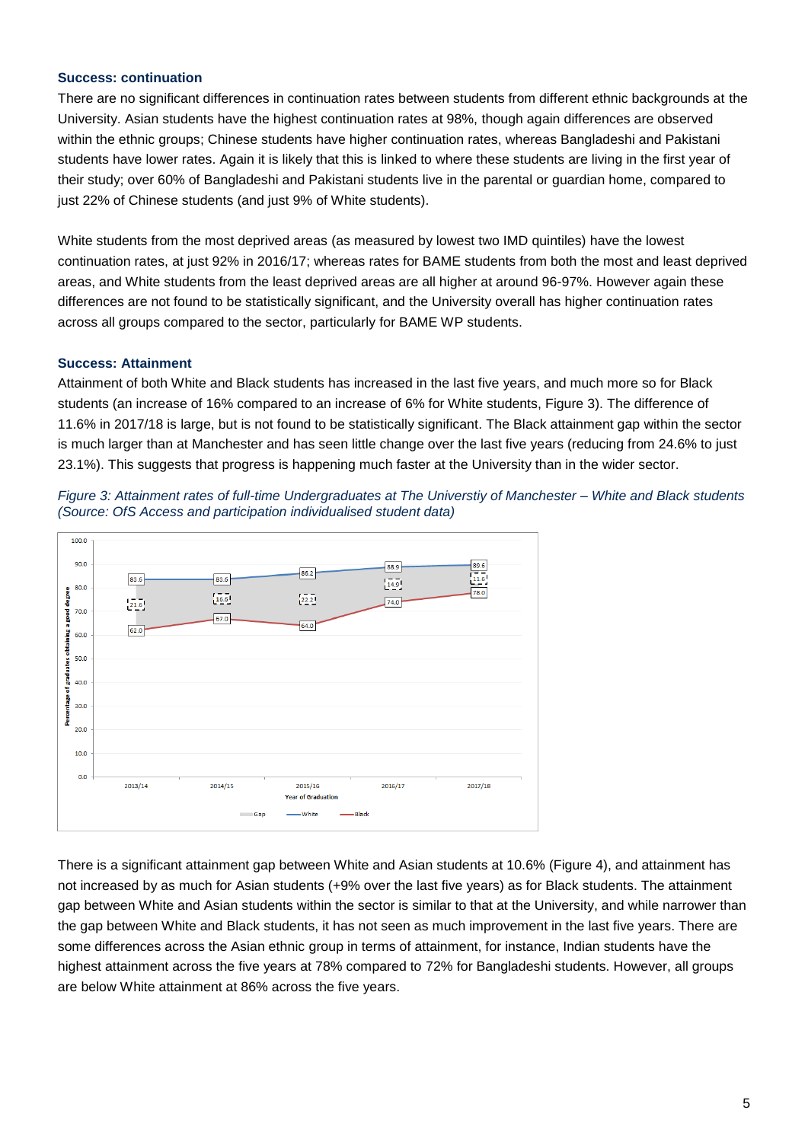### **Success: continuation**

There are no significant differences in continuation rates between students from different ethnic backgrounds at the University. Asian students have the highest continuation rates at 98%, though again differences are observed within the ethnic groups; Chinese students have higher continuation rates, whereas Bangladeshi and Pakistani students have lower rates. Again it is likely that this is linked to where these students are living in the first year of their study; over 60% of Bangladeshi and Pakistani students live in the parental or guardian home, compared to just 22% of Chinese students (and just 9% of White students).

White students from the most deprived areas (as measured by lowest two IMD quintiles) have the lowest continuation rates, at just 92% in 2016/17; whereas rates for BAME students from both the most and least deprived areas, and White students from the least deprived areas are all higher at around 96-97%. However again these differences are not found to be statistically significant, and the University overall has higher continuation rates across all groups compared to the sector, particularly for BAME WP students.

## **Success: Attainment**

Attainment of both White and Black students has increased in the last five years, and much more so for Black students (an increase of 16% compared to an increase of 6% for White students, Figure 3). The difference of 11.6% in 2017/18 is large, but is not found to be statistically significant. The Black attainment gap within the sector is much larger than at Manchester and has seen little change over the last five years (reducing from 24.6% to just 23.1%). This suggests that progress is happening much faster at the University than in the wider sector.





There is a significant attainment gap between White and Asian students at 10.6% (Figure 4), and attainment has not increased by as much for Asian students (+9% over the last five years) as for Black students. The attainment gap between White and Asian students within the sector is similar to that at the University, and while narrower than the gap between White and Black students, it has not seen as much improvement in the last five years. There are some differences across the Asian ethnic group in terms of attainment, for instance, Indian students have the highest attainment across the five years at 78% compared to 72% for Bangladeshi students. However, all groups are below White attainment at 86% across the five years.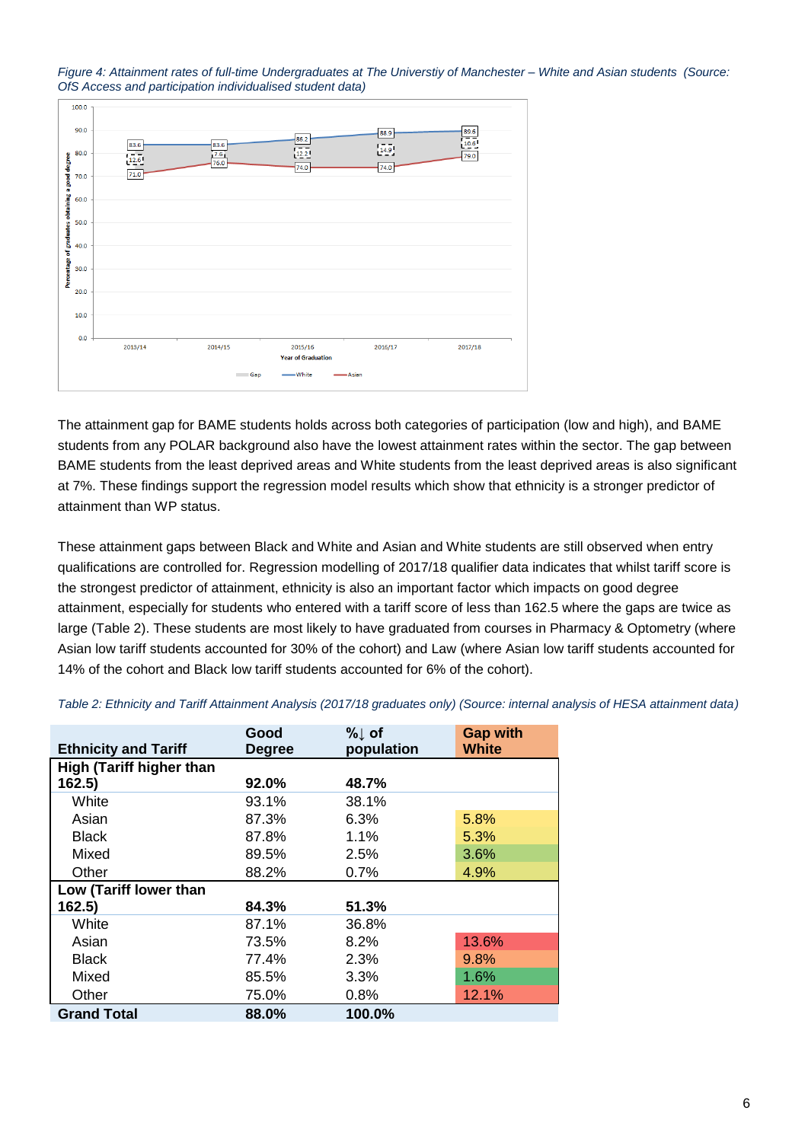



The attainment gap for BAME students holds across both categories of participation (low and high), and BAME students from any POLAR background also have the lowest attainment rates within the sector. The gap between BAME students from the least deprived areas and White students from the least deprived areas is also significant at 7%. These findings support the regression model results which show that ethnicity is a stronger predictor of attainment than WP status.

These attainment gaps between Black and White and Asian and White students are still observed when entry qualifications are controlled for. Regression modelling of 2017/18 qualifier data indicates that whilst tariff score is the strongest predictor of attainment, ethnicity is also an important factor which impacts on good degree attainment, especially for students who entered with a tariff score of less than 162.5 where the gaps are twice as large (Table 2). These students are most likely to have graduated from courses in Pharmacy & Optometry (where Asian low tariff students accounted for 30% of the cohort) and Law (where Asian low tariff students accounted for 14% of the cohort and Black low tariff students accounted for 6% of the cohort).

|                                 | Good          | $%$ of     | <b>Gap with</b> |
|---------------------------------|---------------|------------|-----------------|
| <b>Ethnicity and Tariff</b>     | <b>Degree</b> | population | <b>White</b>    |
| <b>High (Tariff higher than</b> |               |            |                 |
| 162.5)                          | 92.0%         | 48.7%      |                 |
| White                           | 93.1%         | 38.1%      |                 |
| Asian                           | 87.3%         | 6.3%       | 5.8%            |
| <b>Black</b>                    | 87.8%         | 1.1%       | 5.3%            |
| Mixed                           | 89.5%         | 2.5%       | 3.6%            |
| Other                           | 88.2%         | 0.7%       | 4.9%            |
| Low (Tariff lower than          |               |            |                 |
| 162.5)                          | 84.3%         | 51.3%      |                 |
| White                           | 87.1%         | 36.8%      |                 |
| Asian                           | 73.5%         | $8.2\%$    | 13.6%           |
| <b>Black</b>                    | 77.4%         | 2.3%       | 9.8%            |
| Mixed                           | 85.5%         | 3.3%       | 1.6%            |
| Other                           | 75.0%         | 0.8%       | 12.1%           |
| <b>Grand Total</b>              | 88.0%         | 100.0%     |                 |

*Table 2: Ethnicity and Tariff Attainment Analysis (2017/18 graduates only) (Source: internal analysis of HESA attainment data)*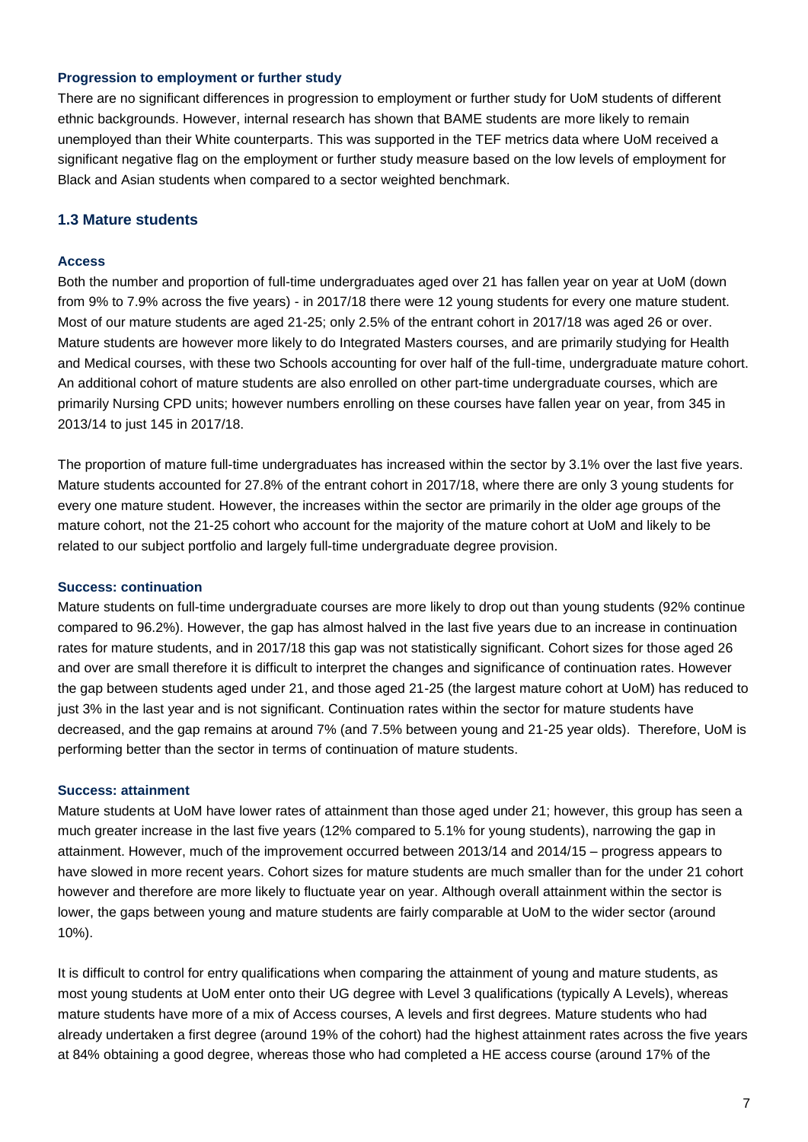### **Progression to employment or further study**

There are no significant differences in progression to employment or further study for UoM students of different ethnic backgrounds. However, internal research has shown that BAME students are more likely to remain unemployed than their White counterparts. This was supported in the TEF metrics data where UoM received a significant negative flag on the employment or further study measure based on the low levels of employment for Black and Asian students when compared to a sector weighted benchmark.

## **1.3 Mature students**

### **Access**

Both the number and proportion of full-time undergraduates aged over 21 has fallen year on year at UoM (down from 9% to 7.9% across the five years) - in 2017/18 there were 12 young students for every one mature student. Most of our mature students are aged 21-25; only 2.5% of the entrant cohort in 2017/18 was aged 26 or over. Mature students are however more likely to do Integrated Masters courses, and are primarily studying for Health and Medical courses, with these two Schools accounting for over half of the full-time, undergraduate mature cohort. An additional cohort of mature students are also enrolled on other part-time undergraduate courses, which are primarily Nursing CPD units; however numbers enrolling on these courses have fallen year on year, from 345 in 2013/14 to just 145 in 2017/18.

The proportion of mature full-time undergraduates has increased within the sector by 3.1% over the last five years. Mature students accounted for 27.8% of the entrant cohort in 2017/18, where there are only 3 young students for every one mature student. However, the increases within the sector are primarily in the older age groups of the mature cohort, not the 21-25 cohort who account for the majority of the mature cohort at UoM and likely to be related to our subject portfolio and largely full-time undergraduate degree provision.

#### **Success: continuation**

Mature students on full-time undergraduate courses are more likely to drop out than young students (92% continue compared to 96.2%). However, the gap has almost halved in the last five years due to an increase in continuation rates for mature students, and in 2017/18 this gap was not statistically significant. Cohort sizes for those aged 26 and over are small therefore it is difficult to interpret the changes and significance of continuation rates. However the gap between students aged under 21, and those aged 21-25 (the largest mature cohort at UoM) has reduced to just 3% in the last year and is not significant. Continuation rates within the sector for mature students have decreased, and the gap remains at around 7% (and 7.5% between young and 21-25 year olds). Therefore, UoM is performing better than the sector in terms of continuation of mature students.

#### **Success: attainment**

Mature students at UoM have lower rates of attainment than those aged under 21; however, this group has seen a much greater increase in the last five years (12% compared to 5.1% for young students), narrowing the gap in attainment. However, much of the improvement occurred between 2013/14 and 2014/15 – progress appears to have slowed in more recent years. Cohort sizes for mature students are much smaller than for the under 21 cohort however and therefore are more likely to fluctuate year on year. Although overall attainment within the sector is lower, the gaps between young and mature students are fairly comparable at UoM to the wider sector (around 10%).

It is difficult to control for entry qualifications when comparing the attainment of young and mature students, as most young students at UoM enter onto their UG degree with Level 3 qualifications (typically A Levels), whereas mature students have more of a mix of Access courses, A levels and first degrees. Mature students who had already undertaken a first degree (around 19% of the cohort) had the highest attainment rates across the five years at 84% obtaining a good degree, whereas those who had completed a HE access course (around 17% of the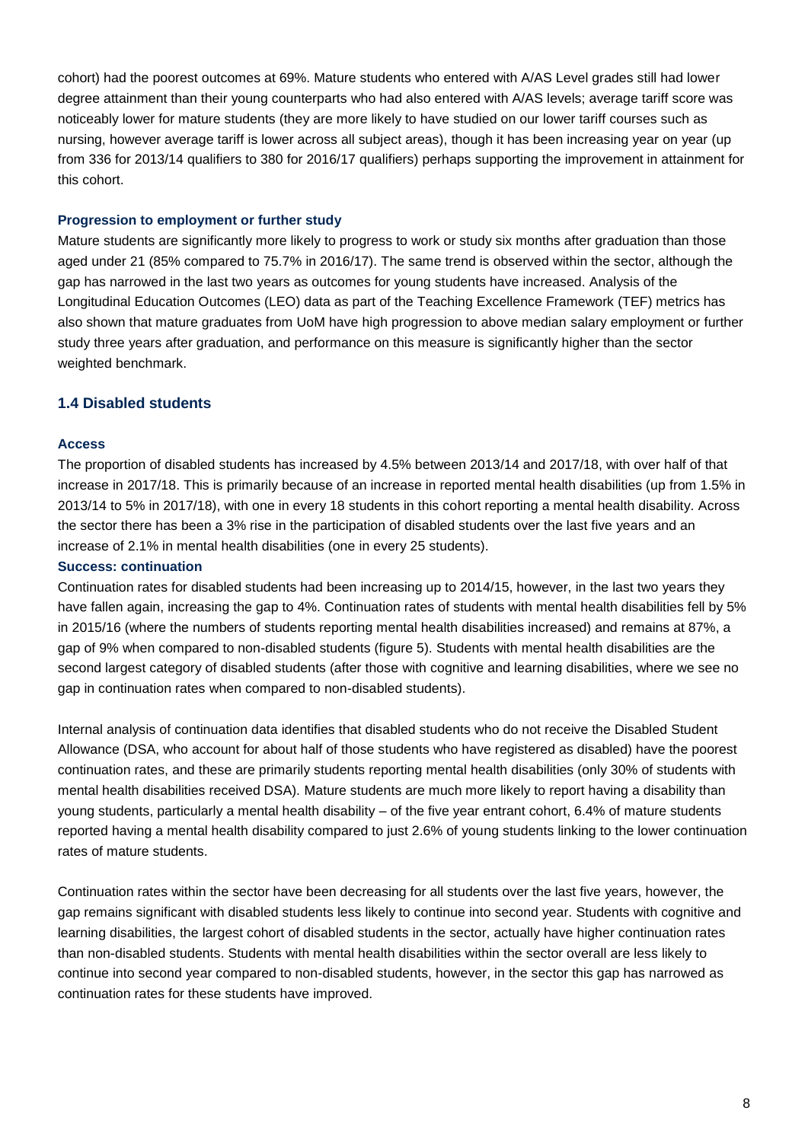cohort) had the poorest outcomes at 69%. Mature students who entered with A/AS Level grades still had lower degree attainment than their young counterparts who had also entered with A/AS levels; average tariff score was noticeably lower for mature students (they are more likely to have studied on our lower tariff courses such as nursing, however average tariff is lower across all subject areas), though it has been increasing year on year (up from 336 for 2013/14 qualifiers to 380 for 2016/17 qualifiers) perhaps supporting the improvement in attainment for this cohort.

### **Progression to employment or further study**

Mature students are significantly more likely to progress to work or study six months after graduation than those aged under 21 (85% compared to 75.7% in 2016/17). The same trend is observed within the sector, although the gap has narrowed in the last two years as outcomes for young students have increased. Analysis of the Longitudinal Education Outcomes (LEO) data as part of the Teaching Excellence Framework (TEF) metrics has also shown that mature graduates from UoM have high progression to above median salary employment or further study three years after graduation, and performance on this measure is significantly higher than the sector weighted benchmark.

# **1.4 Disabled students**

#### **Access**

The proportion of disabled students has increased by 4.5% between 2013/14 and 2017/18, with over half of that increase in 2017/18. This is primarily because of an increase in reported mental health disabilities (up from 1.5% in 2013/14 to 5% in 2017/18), with one in every 18 students in this cohort reporting a mental health disability. Across the sector there has been a 3% rise in the participation of disabled students over the last five years and an increase of 2.1% in mental health disabilities (one in every 25 students).

### **Success: continuation**

Continuation rates for disabled students had been increasing up to 2014/15, however, in the last two years they have fallen again, increasing the gap to 4%. Continuation rates of students with mental health disabilities fell by 5% in 2015/16 (where the numbers of students reporting mental health disabilities increased) and remains at 87%, a gap of 9% when compared to non-disabled students (figure 5). Students with mental health disabilities are the second largest category of disabled students (after those with cognitive and learning disabilities, where we see no gap in continuation rates when compared to non-disabled students).

Internal analysis of continuation data identifies that disabled students who do not receive the Disabled Student Allowance (DSA, who account for about half of those students who have registered as disabled) have the poorest continuation rates, and these are primarily students reporting mental health disabilities (only 30% of students with mental health disabilities received DSA). Mature students are much more likely to report having a disability than young students, particularly a mental health disability – of the five year entrant cohort, 6.4% of mature students reported having a mental health disability compared to just 2.6% of young students linking to the lower continuation rates of mature students.

Continuation rates within the sector have been decreasing for all students over the last five years, however, the gap remains significant with disabled students less likely to continue into second year. Students with cognitive and learning disabilities, the largest cohort of disabled students in the sector, actually have higher continuation rates than non-disabled students. Students with mental health disabilities within the sector overall are less likely to continue into second year compared to non-disabled students, however, in the sector this gap has narrowed as continuation rates for these students have improved.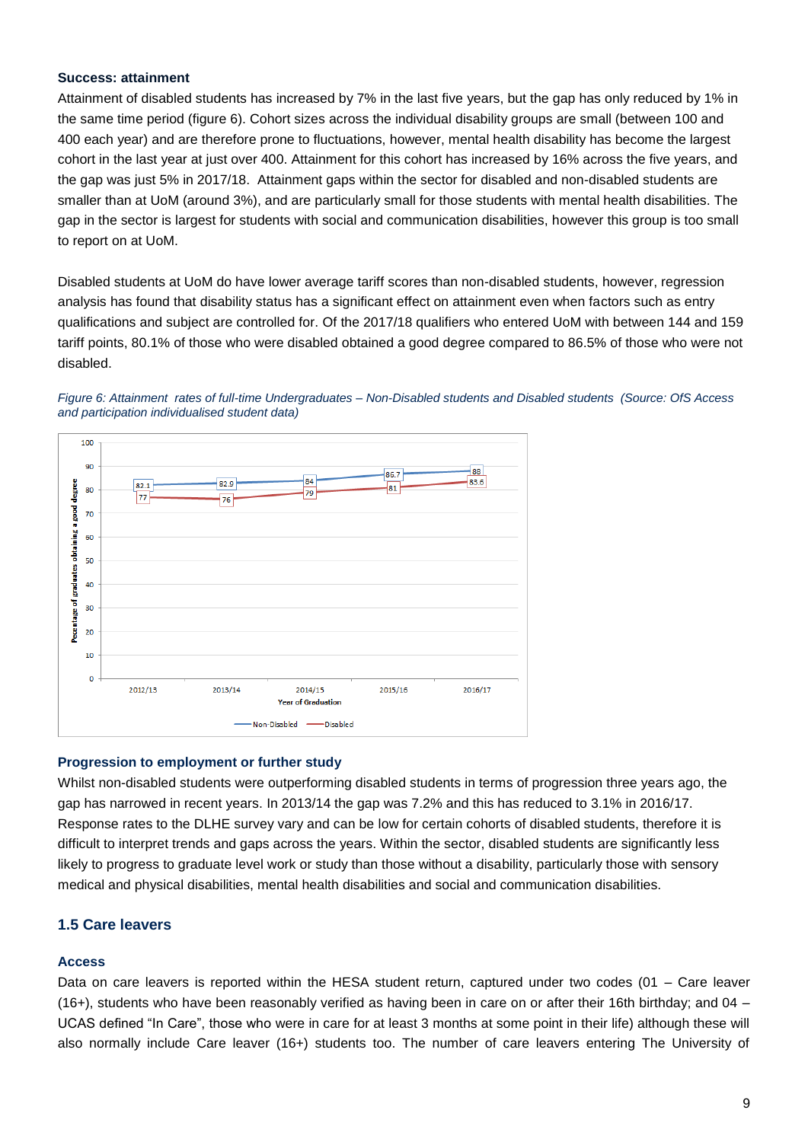### **Success: attainment**

Attainment of disabled students has increased by 7% in the last five years, but the gap has only reduced by 1% in the same time period (figure 6). Cohort sizes across the individual disability groups are small (between 100 and 400 each year) and are therefore prone to fluctuations, however, mental health disability has become the largest cohort in the last year at just over 400. Attainment for this cohort has increased by 16% across the five years, and the gap was just 5% in 2017/18. Attainment gaps within the sector for disabled and non-disabled students are smaller than at UoM (around 3%), and are particularly small for those students with mental health disabilities. The gap in the sector is largest for students with social and communication disabilities, however this group is too small to report on at UoM.

Disabled students at UoM do have lower average tariff scores than non-disabled students, however, regression analysis has found that disability status has a significant effect on attainment even when factors such as entry qualifications and subject are controlled for. Of the 2017/18 qualifiers who entered UoM with between 144 and 159 tariff points, 80.1% of those who were disabled obtained a good degree compared to 86.5% of those who were not disabled.





#### **Progression to employment or further study**

Whilst non-disabled students were outperforming disabled students in terms of progression three years ago, the gap has narrowed in recent years. In 2013/14 the gap was 7.2% and this has reduced to 3.1% in 2016/17. Response rates to the DLHE survey vary and can be low for certain cohorts of disabled students, therefore it is difficult to interpret trends and gaps across the years. Within the sector, disabled students are significantly less likely to progress to graduate level work or study than those without a disability, particularly those with sensory medical and physical disabilities, mental health disabilities and social and communication disabilities.

## **1.5 Care leavers**

#### **Access**

Data on care leavers is reported within the HESA student return, captured under two codes (01 – Care leaver (16+), students who have been reasonably verified as having been in care on or after their 16th birthday; and 04 – UCAS defined "In Care", those who were in care for at least 3 months at some point in their life) although these will also normally include Care leaver (16+) students too. The number of care leavers entering The University of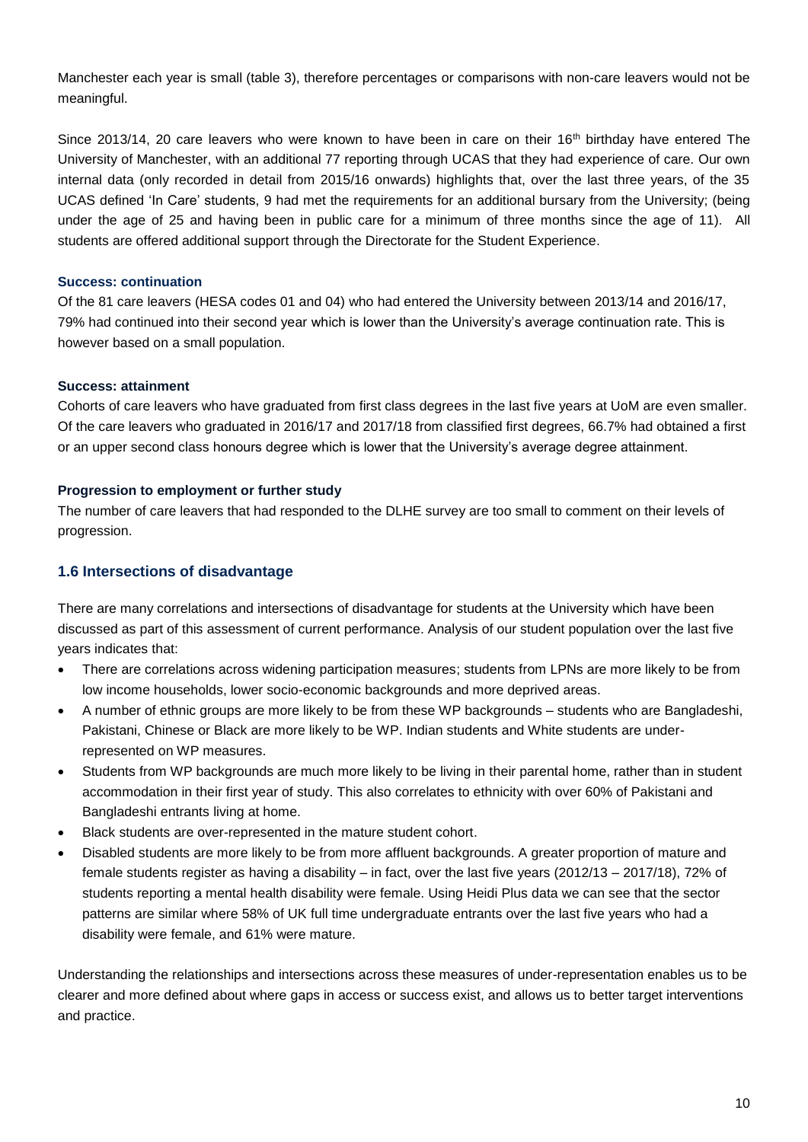Manchester each year is small (table 3), therefore percentages or comparisons with non-care leavers would not be meaningful.

Since 2013/14, 20 care leavers who were known to have been in care on their 16<sup>th</sup> birthday have entered The University of Manchester, with an additional 77 reporting through UCAS that they had experience of care. Our own internal data (only recorded in detail from 2015/16 onwards) highlights that, over the last three years, of the 35 UCAS defined 'In Care' students, 9 had met the requirements for an additional bursary from the University; (being under the age of 25 and having been in public care for a minimum of three months since the age of 11). All students are offered additional support through the Directorate for the Student Experience.

## **Success: continuation**

Of the 81 care leavers (HESA codes 01 and 04) who had entered the University between 2013/14 and 2016/17, 79% had continued into their second year which is lower than the University's average continuation rate. This is however based on a small population.

# **Success: attainment**

Cohorts of care leavers who have graduated from first class degrees in the last five years at UoM are even smaller. Of the care leavers who graduated in 2016/17 and 2017/18 from classified first degrees, 66.7% had obtained a first or an upper second class honours degree which is lower that the University's average degree attainment.

# **Progression to employment or further study**

The number of care leavers that had responded to the DLHE survey are too small to comment on their levels of progression.

# **1.6 Intersections of disadvantage**

There are many correlations and intersections of disadvantage for students at the University which have been discussed as part of this assessment of current performance. Analysis of our student population over the last five years indicates that:

- There are correlations across widening participation measures; students from LPNs are more likely to be from low income households, lower socio-economic backgrounds and more deprived areas.
- A number of ethnic groups are more likely to be from these WP backgrounds students who are Bangladeshi, Pakistani, Chinese or Black are more likely to be WP. Indian students and White students are underrepresented on WP measures.
- Students from WP backgrounds are much more likely to be living in their parental home, rather than in student accommodation in their first year of study. This also correlates to ethnicity with over 60% of Pakistani and Bangladeshi entrants living at home.
- Black students are over-represented in the mature student cohort.
- Disabled students are more likely to be from more affluent backgrounds. A greater proportion of mature and female students register as having a disability – in fact, over the last five years (2012/13 – 2017/18), 72% of students reporting a mental health disability were female. Using Heidi Plus data we can see that the sector patterns are similar where 58% of UK full time undergraduate entrants over the last five years who had a disability were female, and 61% were mature.

Understanding the relationships and intersections across these measures of under-representation enables us to be clearer and more defined about where gaps in access or success exist, and allows us to better target interventions and practice.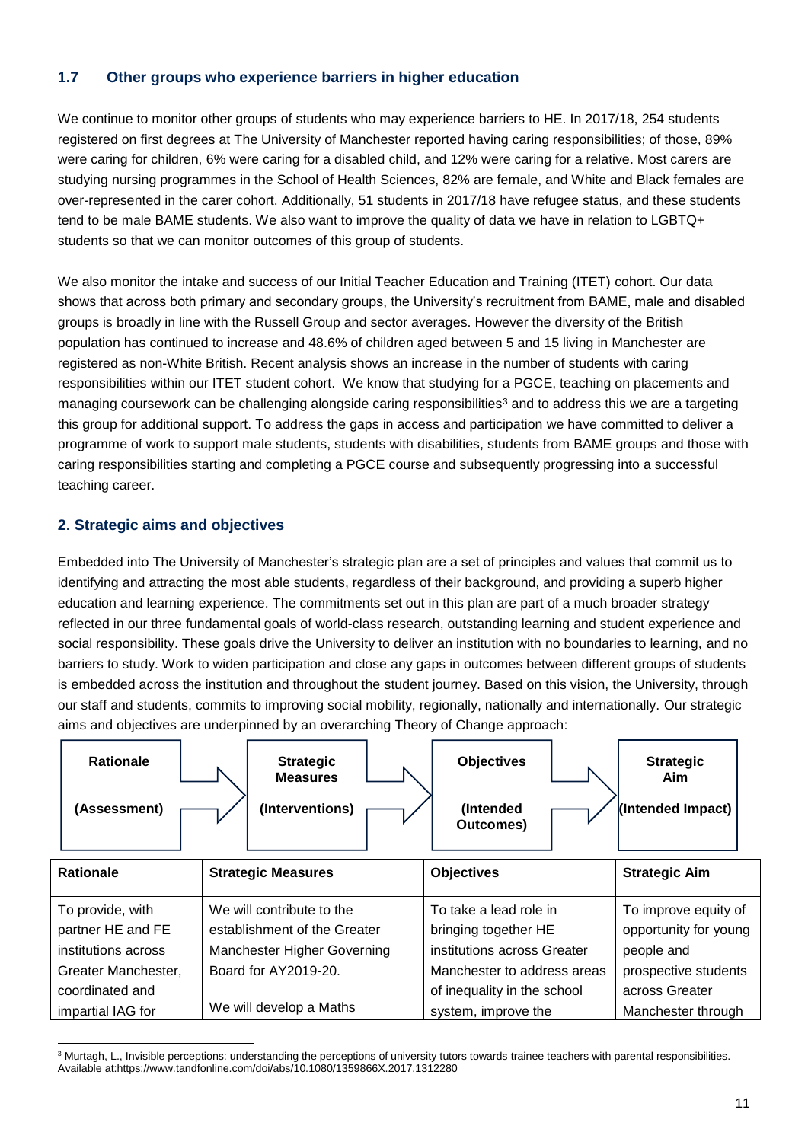# **1.7 Other groups who experience barriers in higher education**

We continue to monitor other groups of students who may experience barriers to HE. In 2017/18, 254 students registered on first degrees at The University of Manchester reported having caring responsibilities; of those, 89% were caring for children, 6% were caring for a disabled child, and 12% were caring for a relative. Most carers are studying nursing programmes in the School of Health Sciences, 82% are female, and White and Black females are over-represented in the carer cohort. Additionally, 51 students in 2017/18 have refugee status, and these students tend to be male BAME students. We also want to improve the quality of data we have in relation to LGBTQ+ students so that we can monitor outcomes of this group of students.

We also monitor the intake and success of our Initial Teacher Education and Training (ITET) cohort. Our data shows that across both primary and secondary groups, the University's recruitment from BAME, male and disabled groups is broadly in line with the Russell Group and sector averages. However the diversity of the British population has continued to increase and 48.6% of children aged between 5 and 15 living in Manchester are registered as non-White British. Recent analysis shows an increase in the number of students with caring responsibilities within our ITET student cohort. We know that studying for a PGCE, teaching on placements and managing coursework can be challenging alongside caring responsibilities<sup>3</sup> and to address this we are a targeting this group for additional support. To address the gaps in access and participation we have committed to deliver a programme of work to support male students, students with disabilities, students from BAME groups and those with caring responsibilities starting and completing a PGCE course and subsequently progressing into a successful teaching career.

# **2. Strategic aims and objectives**

Embedded into The University of Manchester's strategic plan are a set of principles and values that commit us to identifying and attracting the most able students, regardless of their background, and providing a superb higher education and learning experience. The commitments set out in this plan are part of a much broader strategy reflected in our three fundamental goals of world-class research, outstanding learning and student experience and social responsibility. These goals drive the University to deliver an institution with no boundaries to learning, and no barriers to study. Work to widen participation and close any gaps in outcomes between different groups of students is embedded across the institution and throughout the student journey. Based on this vision, the University, through our staff and students, commits to improving social mobility, regionally, nationally and internationally. Our strategic aims and objectives are underpinned by an overarching Theory of Change approach:

| <b>Rationale</b><br>(Assessment) | <b>Strategic</b><br><b>Measures</b><br>(Interventions) | <b>Objectives</b><br>(Intended<br>Outcomes) | <b>Strategic</b><br>Aim<br>(Intended Impact) |
|----------------------------------|--------------------------------------------------------|---------------------------------------------|----------------------------------------------|
| <b>Rationale</b>                 | <b>Strategic Measures</b>                              | <b>Objectives</b>                           | <b>Strategic Aim</b>                         |
| To provide, with                 | We will contribute to the                              | To take a lead role in                      | To improve equity of                         |
| partner HE and FE                | establishment of the Greater                           | bringing together HE                        | opportunity for young                        |
| institutions across              | Manchester Higher Governing                            | institutions across Greater                 | people and                                   |
| Greater Manchester,              | Board for AY2019-20.                                   | Manchester to address areas                 | prospective students                         |
| coordinated and                  |                                                        | of inequality in the school                 | across Greater                               |
| impartial IAG for                | We will develop a Maths                                | system, improve the                         | Manchester through                           |

 $\overline{a}$ <sup>3</sup> Murtagh, L., Invisible perceptions: understanding the perceptions of university tutors towards trainee teachers with parental responsibilities. Available at:https://www.tandfonline.com/doi/abs/10.1080/1359866X.2017.1312280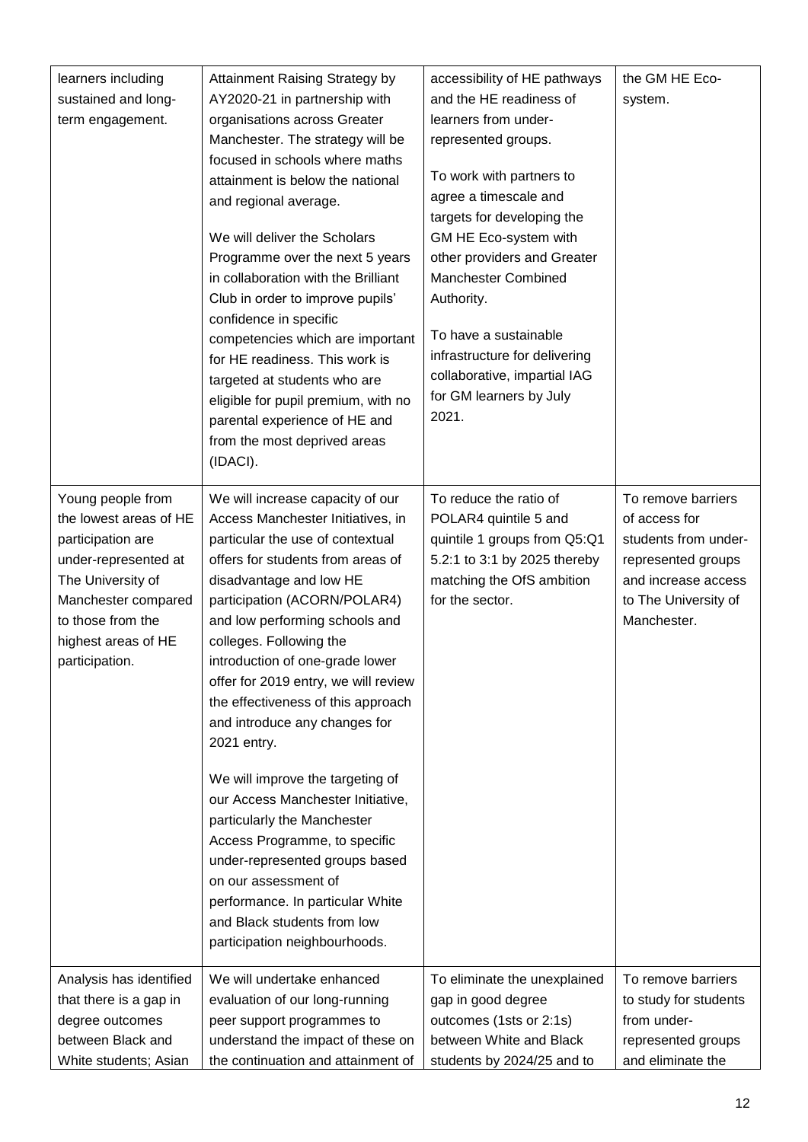| learners including<br>sustained and long-<br>term engagement.                                                                                                                                      | <b>Attainment Raising Strategy by</b><br>AY2020-21 in partnership with<br>organisations across Greater<br>Manchester. The strategy will be<br>focused in schools where maths<br>attainment is below the national<br>and regional average.<br>We will deliver the Scholars<br>Programme over the next 5 years<br>in collaboration with the Brilliant<br>Club in order to improve pupils'<br>confidence in specific<br>competencies which are important<br>for HE readiness. This work is<br>targeted at students who are<br>eligible for pupil premium, with no<br>parental experience of HE and<br>from the most deprived areas<br>(IDACI).                                                                                                    | accessibility of HE pathways<br>and the HE readiness of<br>learners from under-<br>represented groups.<br>To work with partners to<br>agree a timescale and<br>targets for developing the<br>GM HE Eco-system with<br>other providers and Greater<br><b>Manchester Combined</b><br>Authority.<br>To have a sustainable<br>infrastructure for delivering<br>collaborative, impartial IAG<br>for GM learners by July<br>2021. | the GM HE Eco-<br>system.                                                                                                                       |
|----------------------------------------------------------------------------------------------------------------------------------------------------------------------------------------------------|------------------------------------------------------------------------------------------------------------------------------------------------------------------------------------------------------------------------------------------------------------------------------------------------------------------------------------------------------------------------------------------------------------------------------------------------------------------------------------------------------------------------------------------------------------------------------------------------------------------------------------------------------------------------------------------------------------------------------------------------|-----------------------------------------------------------------------------------------------------------------------------------------------------------------------------------------------------------------------------------------------------------------------------------------------------------------------------------------------------------------------------------------------------------------------------|-------------------------------------------------------------------------------------------------------------------------------------------------|
| Young people from<br>the lowest areas of HE<br>participation are<br>under-represented at<br>The University of<br>Manchester compared<br>to those from the<br>highest areas of HE<br>participation. | We will increase capacity of our<br>Access Manchester Initiatives, in<br>particular the use of contextual<br>offers for students from areas of<br>disadvantage and low HE<br>participation (ACORN/POLAR4)<br>and low performing schools and<br>colleges. Following the<br>introduction of one-grade lower<br>offer for 2019 entry, we will review<br>the effectiveness of this approach<br>and introduce any changes for<br>2021 entry.<br>We will improve the targeting of<br>our Access Manchester Initiative,<br>particularly the Manchester<br>Access Programme, to specific<br>under-represented groups based<br>on our assessment of<br>performance. In particular White<br>and Black students from low<br>participation neighbourhoods. | To reduce the ratio of<br>POLAR4 quintile 5 and<br>quintile 1 groups from Q5:Q1<br>5.2:1 to 3:1 by 2025 thereby<br>matching the OfS ambition<br>for the sector.                                                                                                                                                                                                                                                             | To remove barriers<br>of access for<br>students from under-<br>represented groups<br>and increase access<br>to The University of<br>Manchester. |
| Analysis has identified                                                                                                                                                                            | We will undertake enhanced                                                                                                                                                                                                                                                                                                                                                                                                                                                                                                                                                                                                                                                                                                                     | To eliminate the unexplained                                                                                                                                                                                                                                                                                                                                                                                                | To remove barriers                                                                                                                              |
| that there is a gap in                                                                                                                                                                             | evaluation of our long-running                                                                                                                                                                                                                                                                                                                                                                                                                                                                                                                                                                                                                                                                                                                 | gap in good degree                                                                                                                                                                                                                                                                                                                                                                                                          | to study for students                                                                                                                           |
| degree outcomes                                                                                                                                                                                    | peer support programmes to                                                                                                                                                                                                                                                                                                                                                                                                                                                                                                                                                                                                                                                                                                                     | outcomes (1sts or 2:1s)                                                                                                                                                                                                                                                                                                                                                                                                     | from under-                                                                                                                                     |
| between Black and                                                                                                                                                                                  | understand the impact of these on                                                                                                                                                                                                                                                                                                                                                                                                                                                                                                                                                                                                                                                                                                              | between White and Black                                                                                                                                                                                                                                                                                                                                                                                                     | represented groups                                                                                                                              |
| White students; Asian                                                                                                                                                                              | the continuation and attainment of                                                                                                                                                                                                                                                                                                                                                                                                                                                                                                                                                                                                                                                                                                             | students by 2024/25 and to                                                                                                                                                                                                                                                                                                                                                                                                  | and eliminate the                                                                                                                               |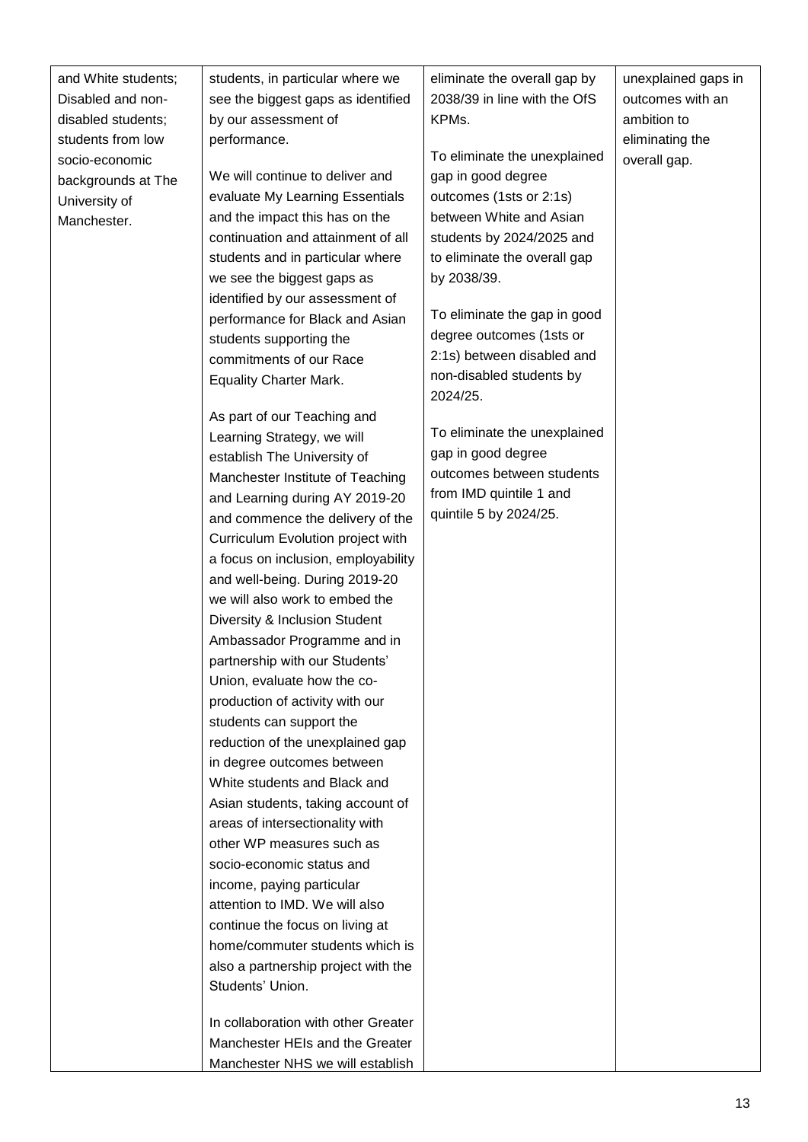| and White students;<br>Disabled and non-<br>disabled students;                            | students, in particular where we<br>see the biggest gaps as identified<br>by our assessment of                                                                                                                              | eliminate the overall gap by<br>2038/39 in line with the OfS<br>KPMs.                                                                                             | unexplained gaps in<br>outcomes with an<br>ambition to |
|-------------------------------------------------------------------------------------------|-----------------------------------------------------------------------------------------------------------------------------------------------------------------------------------------------------------------------------|-------------------------------------------------------------------------------------------------------------------------------------------------------------------|--------------------------------------------------------|
| students from low<br>socio-economic<br>backgrounds at The<br>University of<br>Manchester. | performance.<br>We will continue to deliver and<br>evaluate My Learning Essentials<br>and the impact this has on the<br>continuation and attainment of all                                                                  | To eliminate the unexplained<br>gap in good degree<br>outcomes (1sts or 2:1s)<br>between White and Asian<br>students by 2024/2025 and                             | eliminating the<br>overall gap.                        |
|                                                                                           | students and in particular where<br>we see the biggest gaps as<br>identified by our assessment of<br>performance for Black and Asian<br>students supporting the<br>commitments of our Race<br><b>Equality Charter Mark.</b> | to eliminate the overall gap<br>by 2038/39.<br>To eliminate the gap in good<br>degree outcomes (1sts or<br>2:1s) between disabled and<br>non-disabled students by |                                                        |
|                                                                                           | As part of our Teaching and<br>Learning Strategy, we will<br>establish The University of<br>Manchester Institute of Teaching<br>and Learning during AY 2019-20<br>and commence the delivery of the                          | 2024/25.<br>To eliminate the unexplained<br>gap in good degree<br>outcomes between students<br>from IMD quintile 1 and<br>quintile 5 by 2024/25.                  |                                                        |
|                                                                                           | Curriculum Evolution project with<br>a focus on inclusion, employability<br>and well-being. During 2019-20<br>we will also work to embed the<br>Diversity & Inclusion Student<br>Ambassador Programme and in                |                                                                                                                                                                   |                                                        |
|                                                                                           | partnership with our Students'<br>Union, evaluate how the co-<br>production of activity with our<br>students can support the<br>reduction of the unexplained gap<br>in degree outcomes between                              |                                                                                                                                                                   |                                                        |
|                                                                                           | White students and Black and<br>Asian students, taking account of<br>areas of intersectionality with<br>other WP measures such as<br>socio-economic status and<br>income, paying particular                                 |                                                                                                                                                                   |                                                        |
|                                                                                           | attention to IMD. We will also<br>continue the focus on living at<br>home/commuter students which is<br>also a partnership project with the<br>Students' Union.                                                             |                                                                                                                                                                   |                                                        |
|                                                                                           | In collaboration with other Greater<br>Manchester HEIs and the Greater<br>Manchester NHS we will establish                                                                                                                  |                                                                                                                                                                   |                                                        |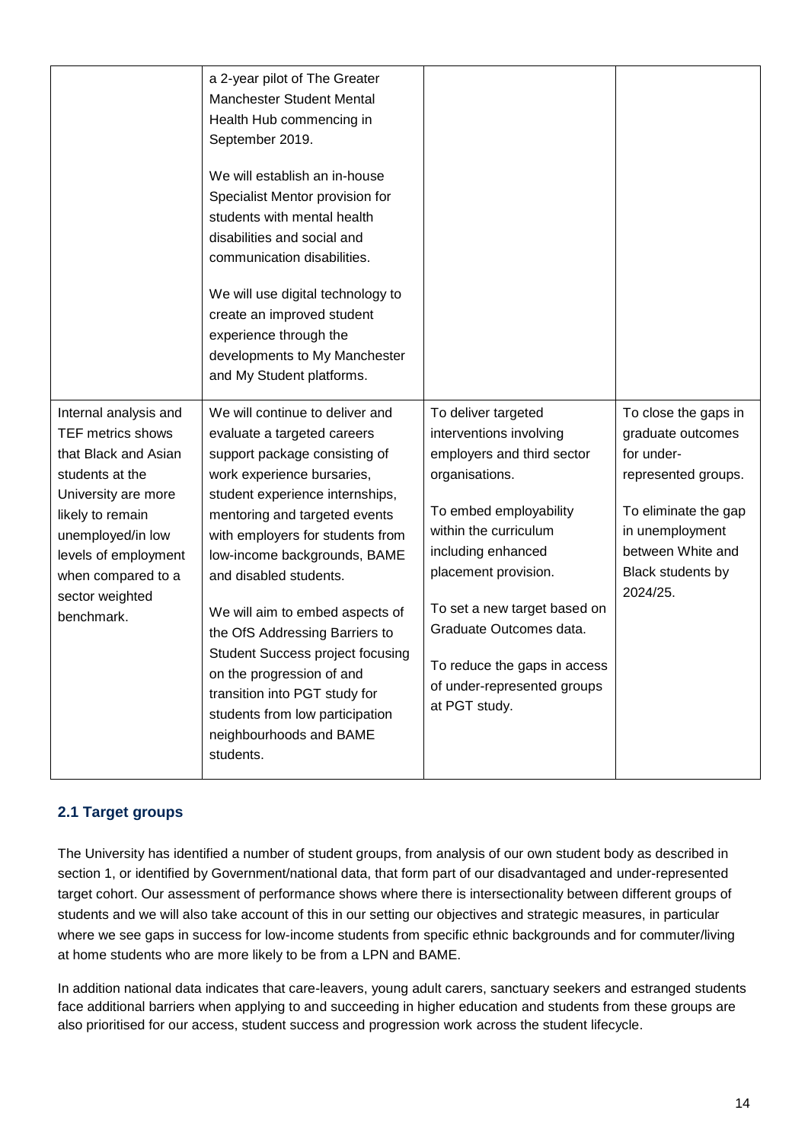|                                                                                                                                                                                                                                             | a 2-year pilot of The Greater<br><b>Manchester Student Mental</b><br>Health Hub commencing in<br>September 2019.<br>We will establish an in-house<br>Specialist Mentor provision for<br>students with mental health<br>disabilities and social and<br>communication disabilities.<br>We will use digital technology to<br>create an improved student<br>experience through the<br>developments to My Manchester<br>and My Student platforms.                                                                                                             |                                                                                                                                                                                                                                                                                                                                            |                                                                                                                                                                                 |
|---------------------------------------------------------------------------------------------------------------------------------------------------------------------------------------------------------------------------------------------|----------------------------------------------------------------------------------------------------------------------------------------------------------------------------------------------------------------------------------------------------------------------------------------------------------------------------------------------------------------------------------------------------------------------------------------------------------------------------------------------------------------------------------------------------------|--------------------------------------------------------------------------------------------------------------------------------------------------------------------------------------------------------------------------------------------------------------------------------------------------------------------------------------------|---------------------------------------------------------------------------------------------------------------------------------------------------------------------------------|
| Internal analysis and<br><b>TEF metrics shows</b><br>that Black and Asian<br>students at the<br>University are more<br>likely to remain<br>unemployed/in low<br>levels of employment<br>when compared to a<br>sector weighted<br>benchmark. | We will continue to deliver and<br>evaluate a targeted careers<br>support package consisting of<br>work experience bursaries,<br>student experience internships,<br>mentoring and targeted events<br>with employers for students from<br>low-income backgrounds, BAME<br>and disabled students.<br>We will aim to embed aspects of<br>the OfS Addressing Barriers to<br><b>Student Success project focusing</b><br>on the progression of and<br>transition into PGT study for<br>students from low participation<br>neighbourhoods and BAME<br>students. | To deliver targeted<br>interventions involving<br>employers and third sector<br>organisations.<br>To embed employability<br>within the curriculum<br>including enhanced<br>placement provision.<br>To set a new target based on<br>Graduate Outcomes data.<br>To reduce the gaps in access<br>of under-represented groups<br>at PGT study. | To close the gaps in<br>graduate outcomes<br>for under-<br>represented groups.<br>To eliminate the gap<br>in unemployment<br>between White and<br>Black students by<br>2024/25. |

# **2.1 Target groups**

The University has identified a number of student groups, from analysis of our own student body as described in section 1, or identified by Government/national data, that form part of our disadvantaged and under-represented target cohort. Our assessment of performance shows where there is intersectionality between different groups of students and we will also take account of this in our setting our objectives and strategic measures, in particular where we see gaps in success for low-income students from specific ethnic backgrounds and for commuter/living at home students who are more likely to be from a LPN and BAME.

In addition national data indicates that care-leavers, young adult carers, sanctuary seekers and estranged students face additional barriers when applying to and succeeding in higher education and students from these groups are also prioritised for our access, student success and progression work across the student lifecycle.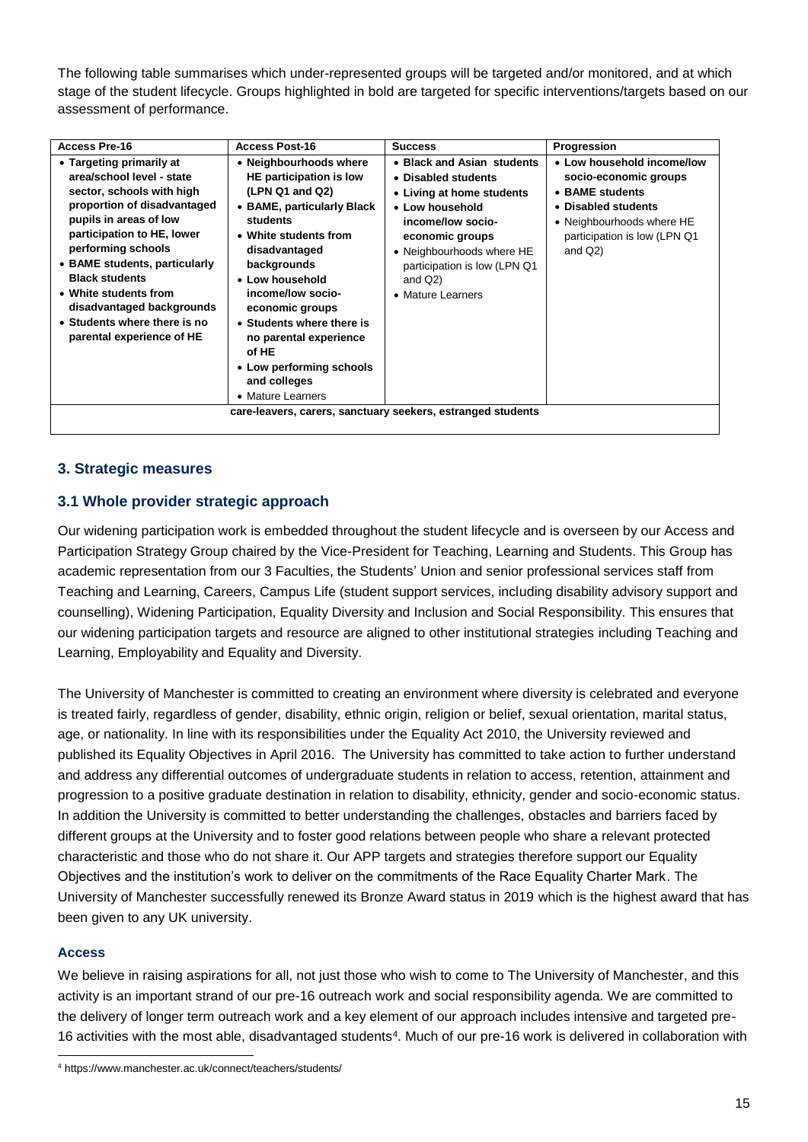The following table summarises which under-represented groups will be targeted and/or monitored, and at which stage of the student lifecycle. Groups highlighted in bold are targeted for specific interventions/targets based on our assessment of performance.

| <b>Access Pre-16</b>                                                                                                                                                                                                                                                                                                                                                         | <b>Access Post-16</b>                                                                                                                                                                                                                                                                                                                                               | <b>Success</b>                                                                                                                                                                                                                            | <b>Progression</b>                                                                                                                                                       |
|------------------------------------------------------------------------------------------------------------------------------------------------------------------------------------------------------------------------------------------------------------------------------------------------------------------------------------------------------------------------------|---------------------------------------------------------------------------------------------------------------------------------------------------------------------------------------------------------------------------------------------------------------------------------------------------------------------------------------------------------------------|-------------------------------------------------------------------------------------------------------------------------------------------------------------------------------------------------------------------------------------------|--------------------------------------------------------------------------------------------------------------------------------------------------------------------------|
| • Targeting primarily at<br>area/school level - state<br>sector, schools with high<br>proportion of disadvantaged<br>pupils in areas of low<br>participation to HE, lower<br>performing schools<br>• BAME students, particularly<br><b>Black students</b><br>• White students from<br>disadvantaged backgrounds<br>• Students where there is no<br>parental experience of HE | • Neighbourhoods where<br>HE participation is low<br>(LPN Q1 and Q2)<br>• BAME, particularly Black<br>students<br>• White students from<br>disadvantaged<br>backgrounds<br>• Low household<br>income/low socio-<br>economic groups<br>• Students where there is<br>no parental experience<br>of HE<br>• Low performing schools<br>and colleges<br>• Mature Learners | • Black and Asian students<br>• Disabled students<br>• Living at home students<br>• Low household<br>income/low socio-<br>economic groups<br>• Neighbourhoods where HE<br>participation is low (LPN Q1<br>and $Q2$ )<br>• Mature Learners | • Low household income/low<br>socio-economic groups<br>• BAME students<br>• Disabled students<br>• Neighbourhoods where HE<br>participation is low (LPN Q1<br>and $Q2$ ) |
|                                                                                                                                                                                                                                                                                                                                                                              |                                                                                                                                                                                                                                                                                                                                                                     | care-leavers, carers, sanctuary seekers, estranged students                                                                                                                                                                               |                                                                                                                                                                          |

# **3. Strategic measures**

# **3.1 Whole provider strategic approach**

Our widening participation work is embedded throughout the student lifecycle and is overseen by our Access and Participation Strategy Group chaired by the Vice-President for Teaching, Learning and Students. This Group has academic representation from our 3 Faculties, the Students' Union and senior professional services staff from Teaching and Learning, Careers, Campus Life (student support services, including disability advisory support and counselling), Widening Participation, Equality Diversity and Inclusion and Social Responsibility. This ensures that our widening participation targets and resource are aligned to other institutional strategies including Teaching and Learning, Employability and Equality and Diversity.

The University of Manchester is committed to creating an environment where diversity is celebrated and everyone is treated fairly, regardless of gender, disability, ethnic origin, religion or belief, sexual orientation, marital status, age, or nationality. In line with its responsibilities under the Equality Act 2010, the University reviewed and published its Equality Objectives in April 2016. The University has committed to take action to further understand and address any differential outcomes of undergraduate students in relation to access, retention, attainment and progression to a positive graduate destination in relation to disability, ethnicity, gender and socio-economic status. In addition the University is committed to better understanding the challenges, obstacles and barriers faced by different groups at the University and to foster good relations between people who share a relevant protected characteristic and those who do not share it. Our APP targets and strategies therefore support our Equality Objectives and the institution's work to deliver on the commitments of the Race Equality Charter Mark. The University of Manchester successfully renewed its Bronze Award status in 2019 which is the highest award that has been given to any UK university.

## **Access**

 $\overline{a}$ 

We believe in raising aspirations for all, not just those who wish to come to The University of Manchester, and this activity is an important strand of our pre-16 outreach work and social responsibility agenda. We are committed to the delivery of longer term outreach work and a key element of our approach includes intensive and targeted pre-16 activities with the most able, disadvantaged students<sup>4</sup>. Much of our pre-16 work is delivered in collaboration with

<sup>4</sup> https://www.manchester.ac.uk/connect/teachers/students/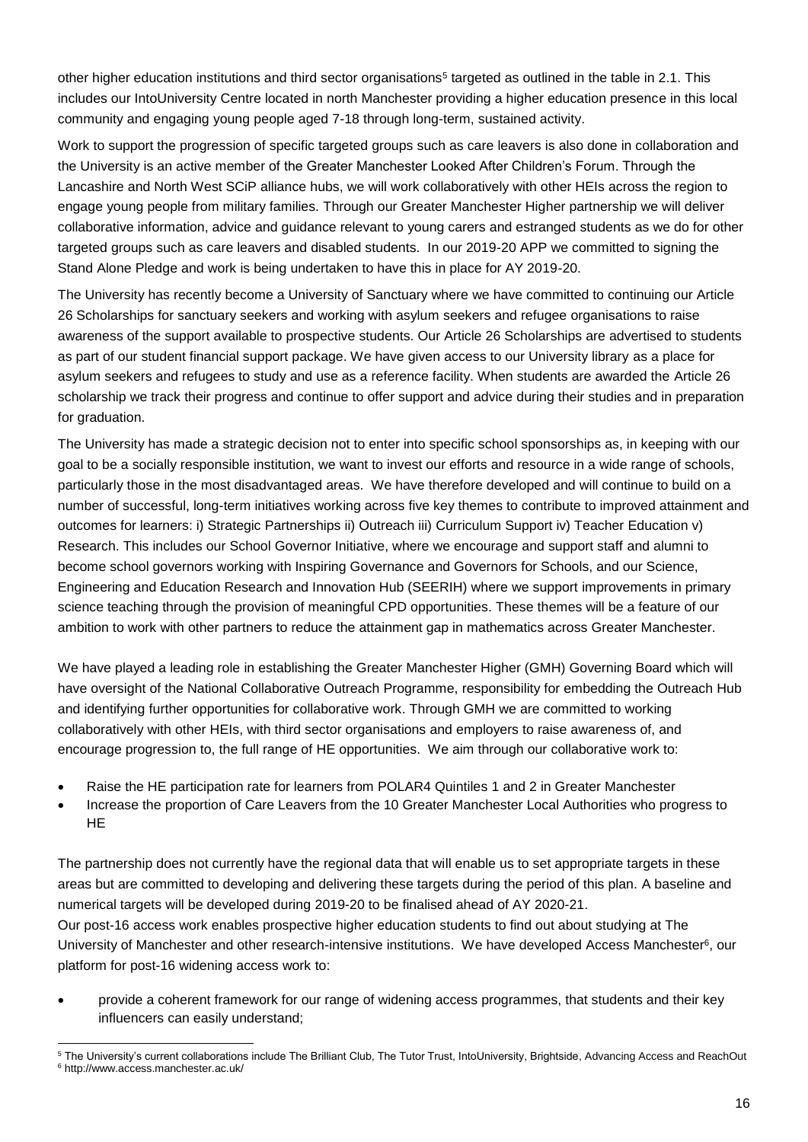other higher education institutions and third sector organisations<sup>5</sup> targeted as outlined in the table in 2.1. This includes our IntoUniversity Centre located in north Manchester providing a higher education presence in this local community and engaging young people aged 7-18 through long-term, sustained activity.

Work to support the progression of specific targeted groups such as care leavers is also done in collaboration and the University is an active member of the Greater Manchester Looked After Children's Forum. Through the Lancashire and North West SCiP alliance hubs, we will work collaboratively with other HEIs across the region to engage young people from military families. Through our Greater Manchester Higher partnership we will deliver collaborative information, advice and guidance relevant to young carers and estranged students as we do for other targeted groups such as care leavers and disabled students. In our 2019-20 APP we committed to signing the Stand Alone Pledge and work is being undertaken to have this in place for AY 2019-20.

The University has recently become a University of Sanctuary where we have committed to continuing our Article 26 Scholarships for sanctuary seekers and working with asylum seekers and refugee organisations to raise awareness of the support available to prospective students. Our Article 26 Scholarships are advertised to students as part of our student financial support package. We have given access to our University library as a place for asylum seekers and refugees to study and use as a reference facility. When students are awarded the Article 26 scholarship we track their progress and continue to offer support and advice during their studies and in preparation for graduation.

The University has made a strategic decision not to enter into specific school sponsorships as, in keeping with our goal to be a socially responsible institution, we want to invest our efforts and resource in a wide range of schools, particularly those in the most disadvantaged areas. We have therefore developed and will continue to build on a number of successful, long-term initiatives working across five key themes to contribute to improved attainment and outcomes for learners: i) Strategic Partnerships ii) Outreach iii) Curriculum Support iv) Teacher Education v) Research. This includes our School Governor Initiative, where we encourage and support staff and alumni to become school governors working with Inspiring Governance and Governors for Schools, and our Science, Engineering and Education Research and Innovation Hub (SEERIH) where we support improvements in primary science teaching through the provision of meaningful CPD opportunities. These themes will be a feature of our ambition to work with other partners to reduce the attainment gap in mathematics across Greater Manchester.

We have played a leading role in establishing the Greater Manchester Higher (GMH) Governing Board which will have oversight of the National Collaborative Outreach Programme, responsibility for embedding the Outreach Hub and identifying further opportunities for collaborative work. Through GMH we are committed to working collaboratively with other HEIs, with third sector organisations and employers to raise awareness of, and encourage progression to, the full range of HE opportunities. We aim through our collaborative work to:

- Raise the HE participation rate for learners from POLAR4 Quintiles 1 and 2 in Greater Manchester
- Increase the proportion of Care Leavers from the 10 Greater Manchester Local Authorities who progress to HE

The partnership does not currently have the regional data that will enable us to set appropriate targets in these areas but are committed to developing and delivering these targets during the period of this plan. A baseline and numerical targets will be developed during 2019-20 to be finalised ahead of AY 2020-21. Our post-16 access work enables prospective higher education students to find out about studying at The University of Manchester and other research-intensive institutions. We have developed Access Manchester<sup>6</sup>, our platform for post-16 widening access work to:

• provide a coherent framework for our range of widening access programmes, that students and their key influencers can easily understand;

 $\overline{a}$ <sup>5</sup> The University's current collaborations include The Brilliant Club, The Tutor Trust, IntoUniversity, Brightside, Advancing Access and ReachOut <sup>6</sup> <http://www.access.manchester.ac.uk/>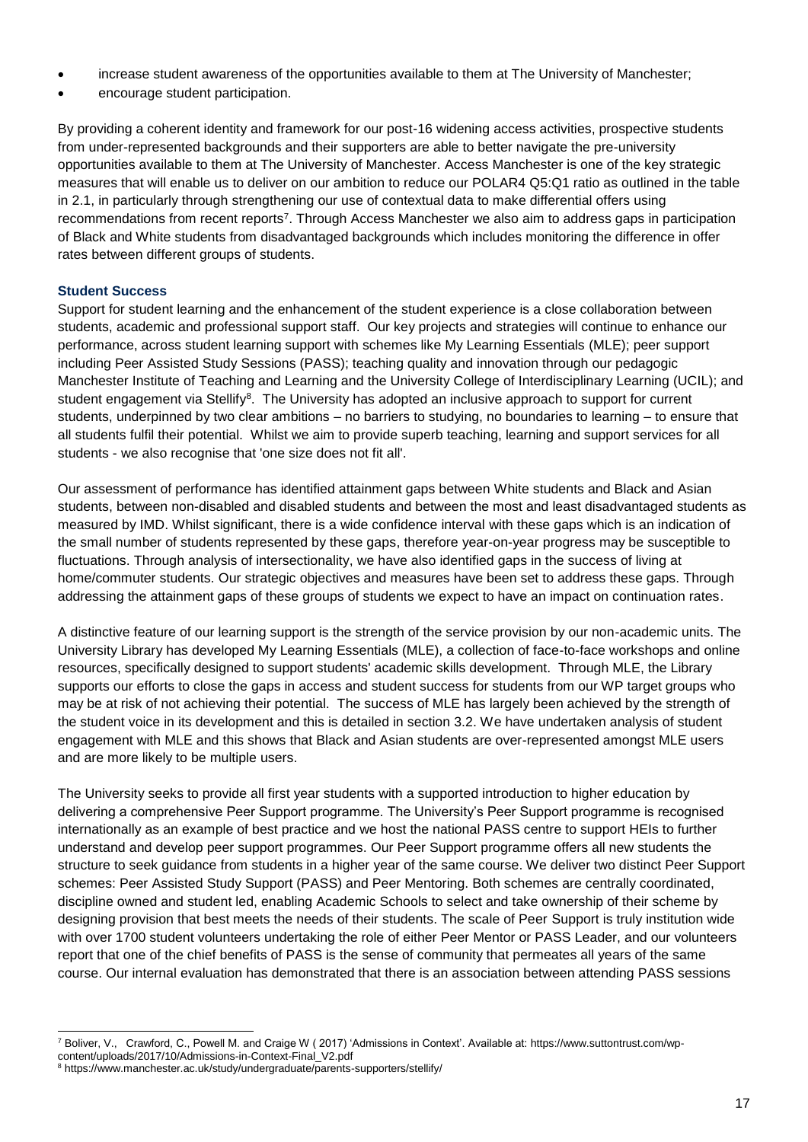- increase student awareness of the opportunities available to them at The University of Manchester;
- encourage student participation.

By providing a coherent identity and framework for our post-16 widening access activities, prospective students from under-represented backgrounds and their supporters are able to better navigate the pre-university opportunities available to them at The University of Manchester. Access Manchester is one of the key strategic measures that will enable us to deliver on our ambition to reduce our POLAR4 Q5:Q1 ratio as outlined in the table in 2.1, in particularly through strengthening our use of contextual data to make differential offers using recommendations from recent reports<sup>7</sup>. Through Access Manchester we also aim to address gaps in participation of Black and White students from disadvantaged backgrounds which includes monitoring the difference in offer rates between different groups of students.

# **Student Success**

Support for student learning and the enhancement of the student experience is a close collaboration between students, academic and professional support staff. Our key projects and strategies will continue to enhance our performance, across student learning support with schemes like My Learning Essentials (MLE); peer support including Peer Assisted Study Sessions (PASS); teaching quality and innovation through our pedagogic Manchester Institute of Teaching and Learning and the University College of Interdisciplinary Learning (UCIL); and student engagement via Stellify<sup>8</sup>. The University has adopted an inclusive approach to support for current students, underpinned by two clear ambitions – no barriers to studying, no boundaries to learning – to ensure that all students fulfil their potential. Whilst we aim to provide superb teaching, learning and support services for all students - we also recognise that 'one size does not fit all'.

Our assessment of performance has identified attainment gaps between White students and Black and Asian students, between non-disabled and disabled students and between the most and least disadvantaged students as measured by IMD. Whilst significant, there is a wide confidence interval with these gaps which is an indication of the small number of students represented by these gaps, therefore year-on-year progress may be susceptible to fluctuations. Through analysis of intersectionality, we have also identified gaps in the success of living at home/commuter students. Our strategic objectives and measures have been set to address these gaps. Through addressing the attainment gaps of these groups of students we expect to have an impact on continuation rates.

A distinctive feature of our learning support is the strength of the service provision by our non-academic units. The University Library has developed My Learning Essentials (MLE), a collection of face-to-face workshops and online resources, specifically designed to support students' academic skills development. Through MLE, the Library supports our efforts to close the gaps in access and student success for students from our WP target groups who may be at risk of not achieving their potential. The success of MLE has largely been achieved by the strength of the student voice in its development and this is detailed in section 3.2. We have undertaken analysis of student engagement with MLE and this shows that Black and Asian students are over-represented amongst MLE users and are more likely to be multiple users.

The University seeks to provide all first year students with a supported introduction to higher education by delivering a comprehensive Peer Support programme. The University's Peer Support programme is recognised internationally as an example of best practice and we host the national PASS centre to support HEIs to further understand and develop peer support programmes. Our Peer Support programme offers all new students the structure to seek guidance from students in a higher year of the same course. We deliver two distinct Peer Support schemes: Peer Assisted Study Support (PASS) and Peer Mentoring. Both schemes are centrally coordinated, discipline owned and student led, enabling Academic Schools to select and take ownership of their scheme by designing provision that best meets the needs of their students. The scale of Peer Support is truly institution wide with over 1700 student volunteers undertaking the role of either Peer Mentor or PASS Leader, and our volunteers report that one of the chief benefits of PASS is the sense of community that permeates all years of the same course. Our internal evaluation has demonstrated that there is an association between attending PASS sessions

 $\overline{a}$ <sup>7</sup> Boliver, V., Crawford, C., Powell M. and Craige W ( 2017) 'Admissions in Context'. Available at: [https://www.suttontrust.com/wp](https://www.suttontrust.com/wp-content/uploads/2017/10/Admissions-in-Context-Final_V2.pdf)[content/uploads/2017/10/Admissions-in-Context-Final\\_V2.pdf](https://www.suttontrust.com/wp-content/uploads/2017/10/Admissions-in-Context-Final_V2.pdf) 

<sup>8</sup> https://www.manchester.ac.uk/study/undergraduate/parents-supporters/stellify/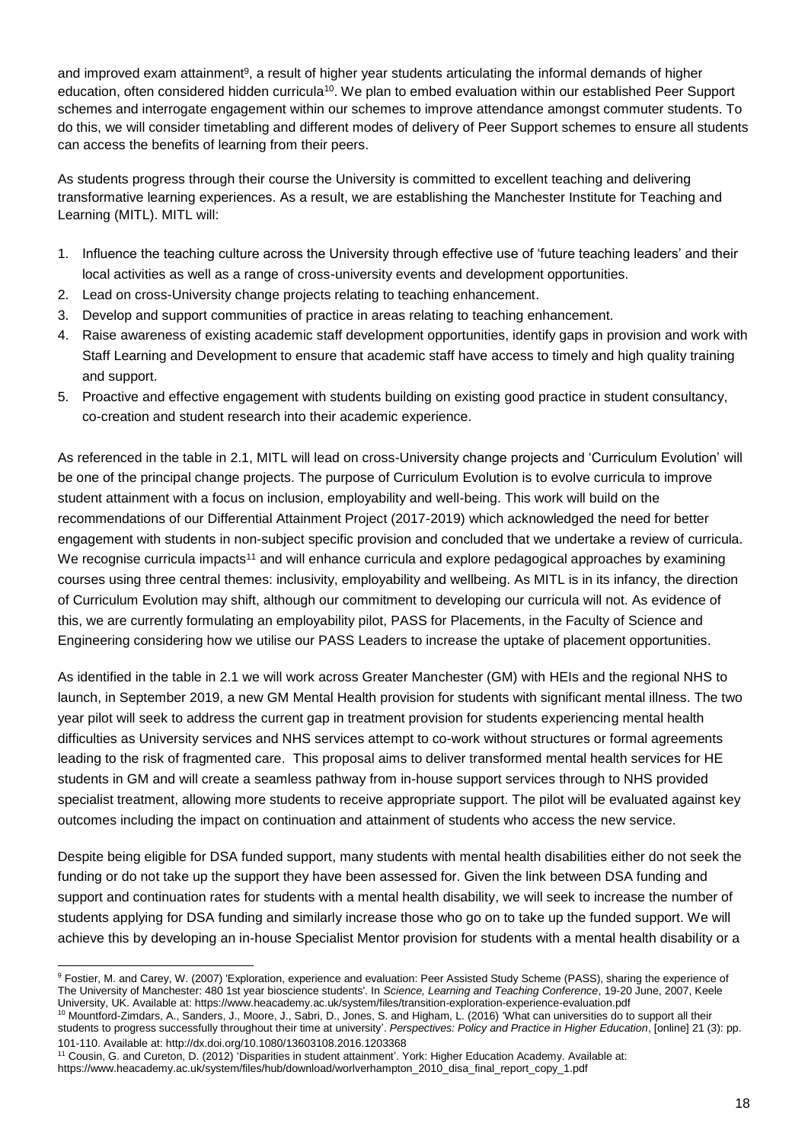and improved exam attainment<sup>9</sup>, a result of higher year students articulating the informal demands of higher education, often considered hidden curricula<sup>10</sup>. We plan to embed evaluation within our established Peer Support schemes and interrogate engagement within our schemes to improve attendance amongst commuter students. To do this, we will consider timetabling and different modes of delivery of Peer Support schemes to ensure all students can access the benefits of learning from their peers.

As students progress through their course the University is committed to excellent teaching and delivering transformative learning experiences. As a result, we are establishing the Manchester Institute for Teaching and Learning (MITL). MITL will:

- 1. Influence the teaching culture across the University through effective use of 'future teaching leaders' and their local activities as well as a range of cross-university events and development opportunities.
- 2. Lead on cross-University change projects relating to teaching enhancement.
- 3. Develop and support communities of practice in areas relating to teaching enhancement.
- 4. Raise awareness of existing academic staff development opportunities, identify gaps in provision and work with Staff Learning and Development to ensure that academic staff have access to timely and high quality training and support.
- 5. Proactive and effective engagement with students building on existing good practice in student consultancy, co-creation and student research into their academic experience.

As referenced in the table in 2.1, MITL will lead on cross-University change projects and 'Curriculum Evolution' will be one of the principal change projects. The purpose of Curriculum Evolution is to evolve curricula to improve student attainment with a focus on inclusion, employability and well-being. This work will build on the recommendations of our Differential Attainment Project (2017-2019) which acknowledged the need for better engagement with students in non-subject specific provision and concluded that we undertake a review of curricula. We recognise curricula impacts<sup>11</sup> and will enhance curricula and explore pedagogical approaches by examining courses using three central themes: inclusivity, employability and wellbeing. As MITL is in its infancy, the direction of Curriculum Evolution may shift, although our commitment to developing our curricula will not. As evidence of this, we are currently formulating an employability pilot, PASS for Placements, in the Faculty of Science and Engineering considering how we utilise our PASS Leaders to increase the uptake of placement opportunities.

As identified in the table in 2.1 we will work across Greater Manchester (GM) with HEIs and the regional NHS to launch, in September 2019, a new GM Mental Health provision for students with significant mental illness. The two year pilot will seek to address the current gap in treatment provision for students experiencing mental health difficulties as University services and NHS services attempt to co-work without structures or formal agreements leading to the risk of fragmented care. This proposal aims to deliver transformed mental health services for HE students in GM and will create a seamless pathway from in-house support services through to NHS provided specialist treatment, allowing more students to receive appropriate support. The pilot will be evaluated against key outcomes including the impact on continuation and attainment of students who access the new service.

Despite being eligible for DSA funded support, many students with mental health disabilities either do not seek the funding or do not take up the support they have been assessed for. Given the link between DSA funding and support and continuation rates for students with a mental health disability, we will seek to increase the number of students applying for DSA funding and similarly increase those who go on to take up the funded support. We will achieve this by developing an in-house Specialist Mentor provision for students with a mental health disability or a

 $\overline{a}$ <sup>9</sup> Fostier, M. and Carey, W. (2007) 'Exploration, experience and evaluation: Peer Assisted Study Scheme (PASS), sharing the experience of The University of Manchester: 480 1st year bioscience students'. In *Science, Learning and Teaching Conference*, 19-20 June, 2007, Keele University, UK. Available at[: https://www.heacademy.ac.uk/system/files/transition-exploration-experience-evaluation.pdf](https://www.heacademy.ac.uk/system/files/transition-exploration-experience-evaluation.pdf)

<sup>10</sup> Mountford-Zimdars, A., Sanders, J., Moore, J., Sabri, D., Jones, S. and Higham, L. (2016) 'What can universities do to support all their students to progress successfully throughout their time at university'. *Perspectives: Policy and Practice in Higher Education*, [online] 21 (3): pp. 101-110. Available at[: http://dx.doi.org/10.1080/13603108.2016.1203368](http://dx.doi.org/10.1080/13603108.2016.1203368)

<sup>11</sup> Cousin, G. and Cureton, D. (2012) 'Disparities in student attainment'. York: Higher Education Academy. Available at: [https://www.heacademy.ac.uk/system/files/hub/download/worlverhampton\\_2010\\_disa\\_final\\_report\\_copy\\_1.pdf](https://www.heacademy.ac.uk/system/files/hub/download/worlverhampton_2010_disa_final_report_copy_1.pdf)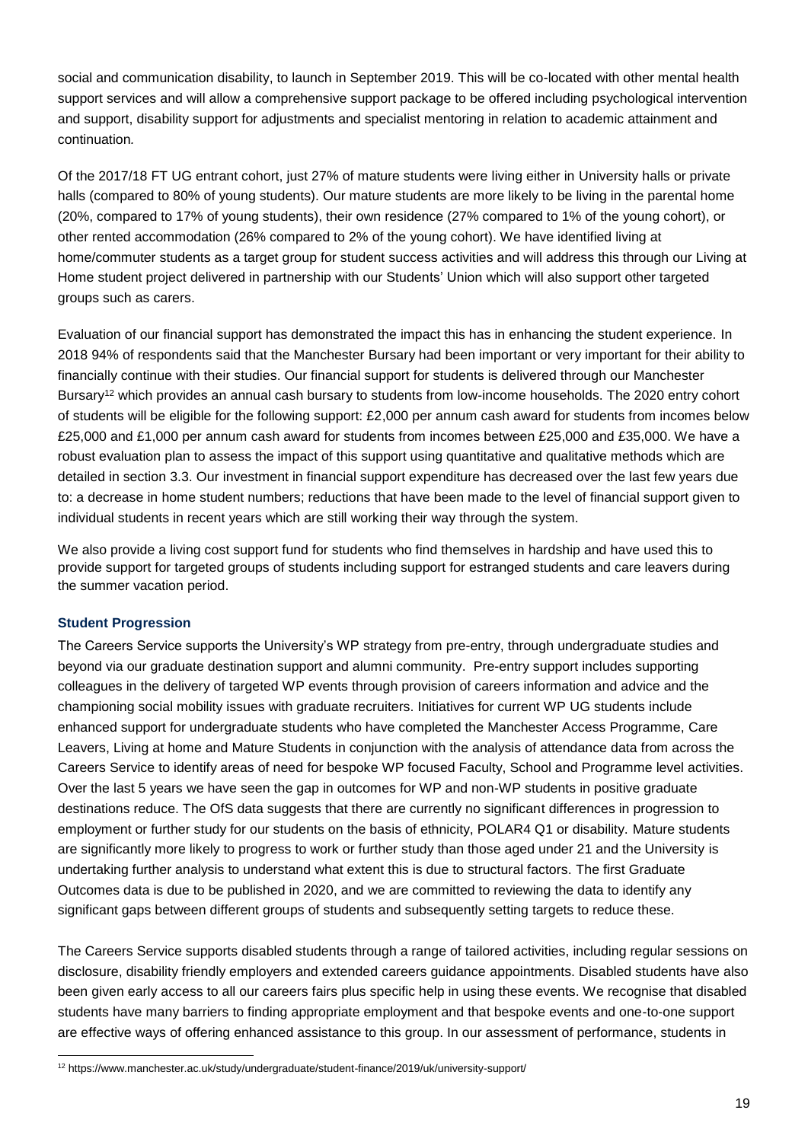social and communication disability, to launch in September 2019. This will be co-located with other mental health support services and will allow a comprehensive support package to be offered including psychological intervention and support, disability support for adjustments and specialist mentoring in relation to academic attainment and continuation*.*

Of the 2017/18 FT UG entrant cohort, just 27% of mature students were living either in University halls or private halls (compared to 80% of young students). Our mature students are more likely to be living in the parental home (20%, compared to 17% of young students), their own residence (27% compared to 1% of the young cohort), or other rented accommodation (26% compared to 2% of the young cohort). We have identified living at home/commuter students as a target group for student success activities and will address this through our Living at Home student project delivered in partnership with our Students' Union which will also support other targeted groups such as carers.

Evaluation of our financial support has demonstrated the impact this has in enhancing the student experience. In 2018 94% of respondents said that the Manchester Bursary had been important or very important for their ability to financially continue with their studies. Our financial support for students is delivered through our Manchester Bursary<sup>12</sup> which provides an annual cash bursary to students from low-income households. The 2020 entry cohort of students will be eligible for the following support: £2,000 per annum cash award for students from incomes below £25,000 and £1,000 per annum cash award for students from incomes between £25,000 and £35,000. We have a robust evaluation plan to assess the impact of this support using quantitative and qualitative methods which are detailed in section 3.3. Our investment in financial support expenditure has decreased over the last few years due to: a decrease in home student numbers; reductions that have been made to the level of financial support given to individual students in recent years which are still working their way through the system.

We also provide a living cost support fund for students who find themselves in hardship and have used this to provide support for targeted groups of students including support for estranged students and care leavers during the summer vacation period.

# **Student Progression**

 $\overline{a}$ 

The Careers Service supports the University's WP strategy from pre-entry, through undergraduate studies and beyond via our graduate destination support and alumni community. Pre-entry support includes supporting colleagues in the delivery of targeted WP events through provision of careers information and advice and the championing social mobility issues with graduate recruiters. Initiatives for current WP UG students include enhanced support for undergraduate students who have completed the Manchester Access Programme, Care Leavers, Living at home and Mature Students in conjunction with the analysis of attendance data from across the Careers Service to identify areas of need for bespoke WP focused Faculty, School and Programme level activities. Over the last 5 years we have seen the gap in outcomes for WP and non-WP students in positive graduate destinations reduce. The OfS data suggests that there are currently no significant differences in progression to employment or further study for our students on the basis of ethnicity, POLAR4 Q1 or disability. Mature students are significantly more likely to progress to work or further study than those aged under 21 and the University is undertaking further analysis to understand what extent this is due to structural factors. The first Graduate Outcomes data is due to be published in 2020, and we are committed to reviewing the data to identify any significant gaps between different groups of students and subsequently setting targets to reduce these.

The Careers Service supports disabled students through a range of tailored activities, including regular sessions on disclosure, disability friendly employers and extended careers guidance appointments. Disabled students have also been given early access to all our careers fairs plus specific help in using these events. We recognise that disabled students have many barriers to finding appropriate employment and that bespoke events and one-to-one support are effective ways of offering enhanced assistance to this group. In our assessment of performance, students in

<sup>12</sup> https://www.manchester.ac.uk/study/undergraduate/student-finance/2019/uk/university-support/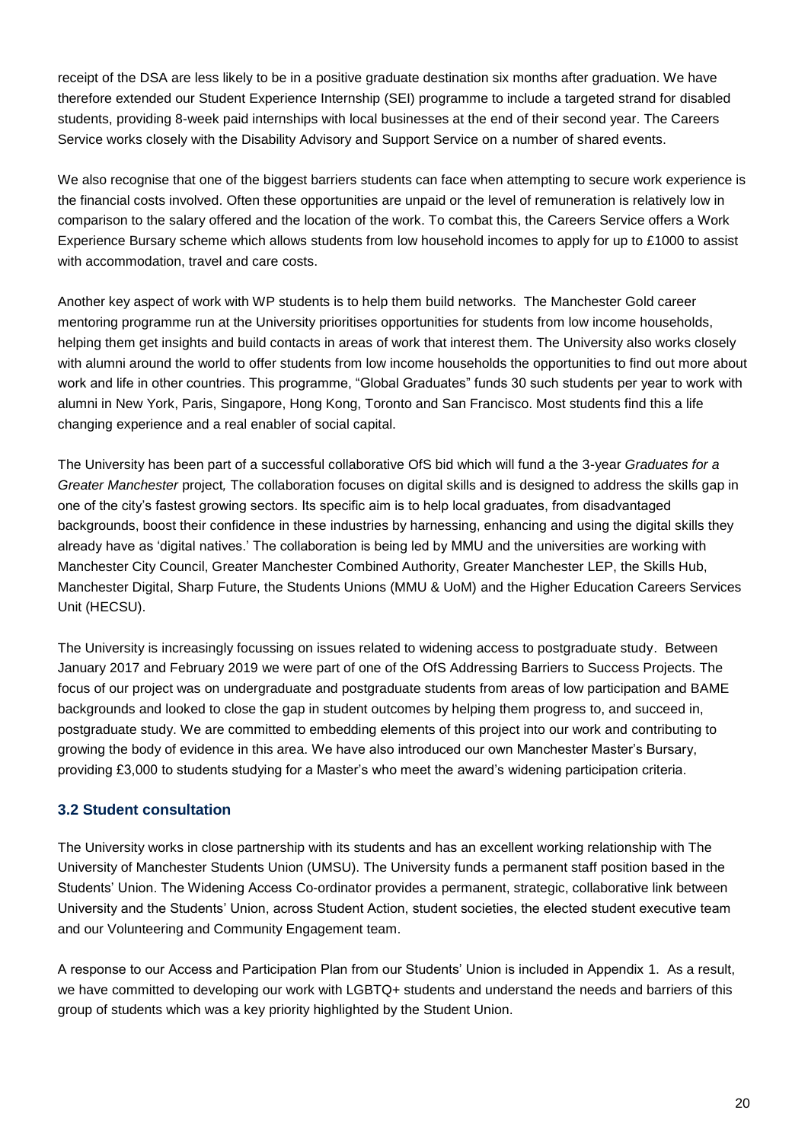receipt of the DSA are less likely to be in a positive graduate destination six months after graduation. We have therefore extended our Student Experience Internship (SEI) programme to include a targeted strand for disabled students, providing 8-week paid internships with local businesses at the end of their second year. The Careers Service works closely with the Disability Advisory and Support Service on a number of shared events.

We also recognise that one of the biggest barriers students can face when attempting to secure work experience is the financial costs involved. Often these opportunities are unpaid or the level of remuneration is relatively low in comparison to the salary offered and the location of the work. To combat this, the Careers Service offers a Work Experience Bursary scheme which allows students from low household incomes to apply for up to £1000 to assist with accommodation, travel and care costs.

Another key aspect of work with WP students is to help them build networks. The Manchester Gold career mentoring programme run at the University prioritises opportunities for students from low income households, helping them get insights and build contacts in areas of work that interest them. The University also works closely with alumni around the world to offer students from low income households the opportunities to find out more about work and life in other countries. This programme, "Global Graduates" funds 30 such students per year to work with alumni in New York, Paris, Singapore, Hong Kong, Toronto and San Francisco. Most students find this a life changing experience and a real enabler of social capital.

The University has been part of a successful collaborative OfS bid which will fund a the 3-year *Graduates for a Greater Manchester* project*,* The collaboration focuses on digital skills and is designed to address the skills gap in one of the city's fastest growing sectors. Its specific aim is to help local graduates, from disadvantaged backgrounds, boost their confidence in these industries by harnessing, enhancing and using the digital skills they already have as 'digital natives.' The collaboration is being led by MMU and the universities are working with Manchester City Council, Greater Manchester Combined Authority, Greater Manchester LEP, the Skills Hub, Manchester Digital, Sharp Future, the Students Unions (MMU & UoM) and the Higher Education Careers Services Unit (HECSU).

The University is increasingly focussing on issues related to widening access to postgraduate study. Between January 2017 and February 2019 we were part of one of the OfS Addressing Barriers to Success Projects. The focus of our project was on undergraduate and postgraduate students from areas of low participation and BAME backgrounds and looked to close the gap in student outcomes by helping them progress to, and succeed in, postgraduate study. We are committed to embedding elements of this project into our work and contributing to growing the body of evidence in this area. We have also introduced our own Manchester Master's Bursary, providing £3,000 to students studying for a Master's who meet the award's widening participation criteria.

# **3.2 Student consultation**

The University works in close partnership with its students and has an excellent working relationship with The University of Manchester Students Union (UMSU). The University funds a permanent staff position based in the Students' Union. The Widening Access Co-ordinator provides a permanent, strategic, collaborative link between University and the Students' Union, across Student Action, student societies, the elected student executive team and our Volunteering and Community Engagement team.

A response to our Access and Participation Plan from our Students' Union is included in Appendix 1. As a result, we have committed to developing our work with LGBTQ+ students and understand the needs and barriers of this group of students which was a key priority highlighted by the Student Union.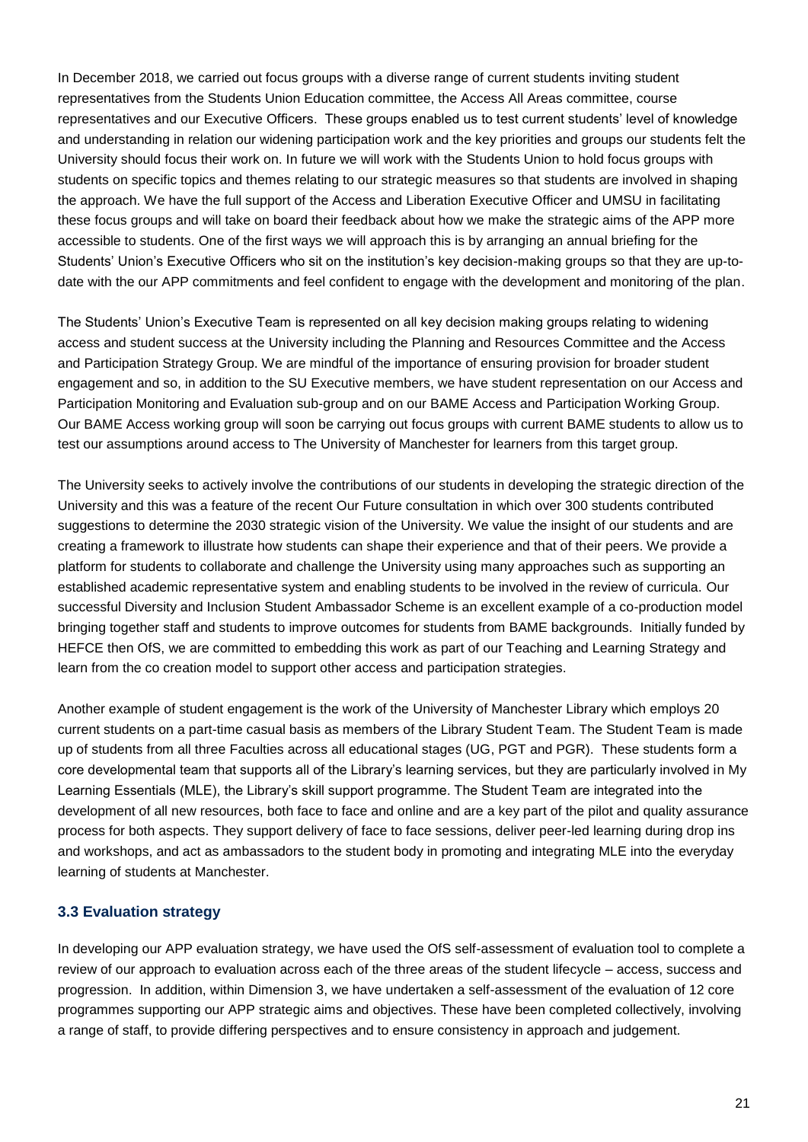In December 2018, we carried out focus groups with a diverse range of current students inviting student representatives from the Students Union Education committee, the Access All Areas committee, course representatives and our Executive Officers. These groups enabled us to test current students' level of knowledge and understanding in relation our widening participation work and the key priorities and groups our students felt the University should focus their work on. In future we will work with the Students Union to hold focus groups with students on specific topics and themes relating to our strategic measures so that students are involved in shaping the approach. We have the full support of the Access and Liberation Executive Officer and UMSU in facilitating these focus groups and will take on board their feedback about how we make the strategic aims of the APP more accessible to students. One of the first ways we will approach this is by arranging an annual briefing for the Students' Union's Executive Officers who sit on the institution's key decision-making groups so that they are up-todate with the our APP commitments and feel confident to engage with the development and monitoring of the plan.

The Students' Union's Executive Team is represented on all key decision making groups relating to widening access and student success at the University including the Planning and Resources Committee and the Access and Participation Strategy Group. We are mindful of the importance of ensuring provision for broader student engagement and so, in addition to the SU Executive members, we have student representation on our Access and Participation Monitoring and Evaluation sub-group and on our BAME Access and Participation Working Group. Our BAME Access working group will soon be carrying out focus groups with current BAME students to allow us to test our assumptions around access to The University of Manchester for learners from this target group.

The University seeks to actively involve the contributions of our students in developing the strategic direction of the University and this was a feature of the recent Our Future consultation in which over 300 students contributed suggestions to determine the 2030 strategic vision of the University. We value the insight of our students and are creating a framework to illustrate how students can shape their experience and that of their peers. We provide a platform for students to collaborate and challenge the University using many approaches such as supporting an established academic representative system and enabling students to be involved in the review of curricula. Our successful Diversity and Inclusion Student Ambassador Scheme is an excellent example of a co-production model bringing together staff and students to improve outcomes for students from BAME backgrounds. Initially funded by HEFCE then OfS, we are committed to embedding this work as part of our Teaching and Learning Strategy and learn from the co creation model to support other access and participation strategies.

Another example of student engagement is the work of the University of Manchester Library which employs 20 current students on a part-time casual basis as members of the Library Student Team. The Student Team is made up of students from all three Faculties across all educational stages (UG, PGT and PGR). These students form a core developmental team that supports all of the Library's learning services, but they are particularly involved in My Learning Essentials (MLE), the Library's skill support programme. The Student Team are integrated into the development of all new resources, both face to face and online and are a key part of the pilot and quality assurance process for both aspects. They support delivery of face to face sessions, deliver peer-led learning during drop ins and workshops, and act as ambassadors to the student body in promoting and integrating MLE into the everyday learning of students at Manchester.

# **3.3 Evaluation strategy**

In developing our APP evaluation strategy, we have used the OfS self-assessment of evaluation tool to complete a review of our approach to evaluation across each of the three areas of the student lifecycle – access, success and progression. In addition, within Dimension 3, we have undertaken a self-assessment of the evaluation of 12 core programmes supporting our APP strategic aims and objectives. These have been completed collectively, involving a range of staff, to provide differing perspectives and to ensure consistency in approach and judgement.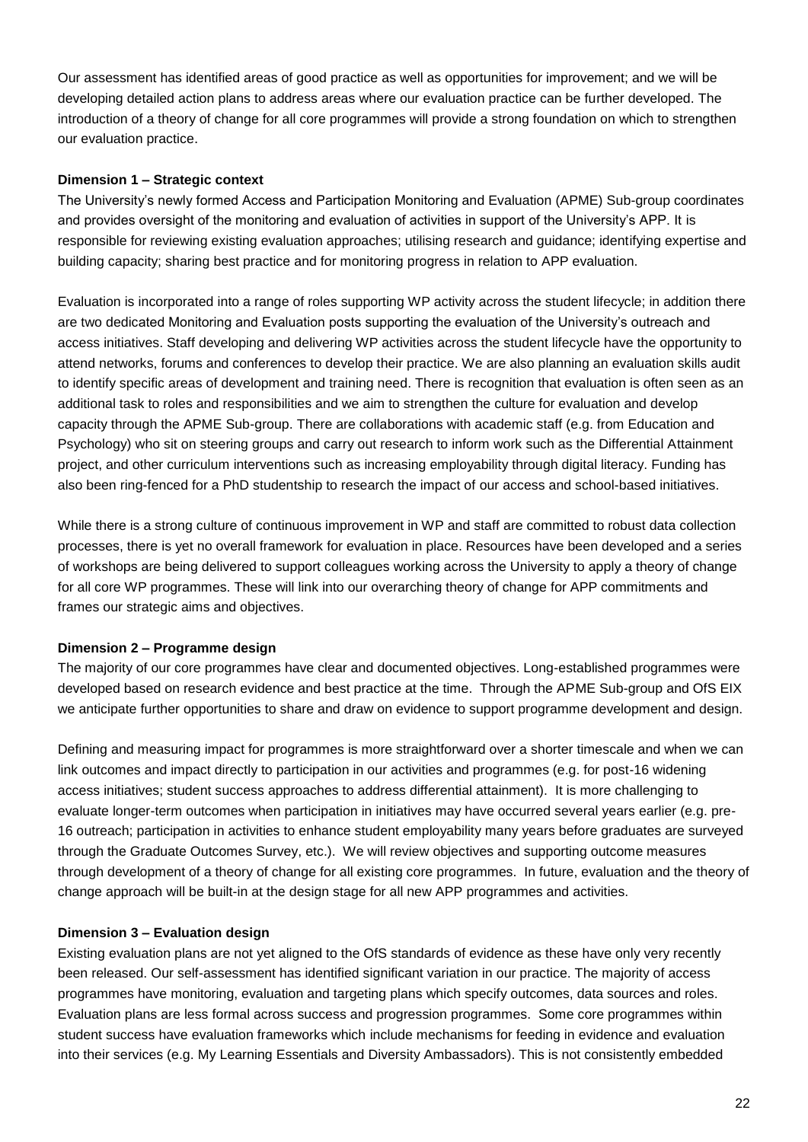Our assessment has identified areas of good practice as well as opportunities for improvement; and we will be developing detailed action plans to address areas where our evaluation practice can be further developed. The introduction of a theory of change for all core programmes will provide a strong foundation on which to strengthen our evaluation practice.

## **Dimension 1 – Strategic context**

The University's newly formed Access and Participation Monitoring and Evaluation (APME) Sub-group coordinates and provides oversight of the monitoring and evaluation of activities in support of the University's APP. It is responsible for reviewing existing evaluation approaches; utilising research and guidance; identifying expertise and building capacity; sharing best practice and for monitoring progress in relation to APP evaluation.

Evaluation is incorporated into a range of roles supporting WP activity across the student lifecycle; in addition there are two dedicated Monitoring and Evaluation posts supporting the evaluation of the University's outreach and access initiatives. Staff developing and delivering WP activities across the student lifecycle have the opportunity to attend networks, forums and conferences to develop their practice. We are also planning an evaluation skills audit to identify specific areas of development and training need. There is recognition that evaluation is often seen as an additional task to roles and responsibilities and we aim to strengthen the culture for evaluation and develop capacity through the APME Sub-group. There are collaborations with academic staff (e.g. from Education and Psychology) who sit on steering groups and carry out research to inform work such as the Differential Attainment project, and other curriculum interventions such as increasing employability through digital literacy. Funding has also been ring-fenced for a PhD studentship to research the impact of our access and school-based initiatives.

While there is a strong culture of continuous improvement in WP and staff are committed to robust data collection processes, there is yet no overall framework for evaluation in place. Resources have been developed and a series of workshops are being delivered to support colleagues working across the University to apply a theory of change for all core WP programmes. These will link into our overarching theory of change for APP commitments and frames our strategic aims and objectives.

## **Dimension 2 – Programme design**

The majority of our core programmes have clear and documented objectives. Long-established programmes were developed based on research evidence and best practice at the time. Through the APME Sub-group and OfS EIX we anticipate further opportunities to share and draw on evidence to support programme development and design.

Defining and measuring impact for programmes is more straightforward over a shorter timescale and when we can link outcomes and impact directly to participation in our activities and programmes (e.g. for post-16 widening access initiatives; student success approaches to address differential attainment). It is more challenging to evaluate longer-term outcomes when participation in initiatives may have occurred several years earlier (e.g. pre-16 outreach; participation in activities to enhance student employability many years before graduates are surveyed through the Graduate Outcomes Survey, etc.). We will review objectives and supporting outcome measures through development of a theory of change for all existing core programmes. In future, evaluation and the theory of change approach will be built-in at the design stage for all new APP programmes and activities.

## **Dimension 3 – Evaluation design**

Existing evaluation plans are not yet aligned to the OfS standards of evidence as these have only very recently been released. Our self-assessment has identified significant variation in our practice. The majority of access programmes have monitoring, evaluation and targeting plans which specify outcomes, data sources and roles. Evaluation plans are less formal across success and progression programmes. Some core programmes within student success have evaluation frameworks which include mechanisms for feeding in evidence and evaluation into their services (e.g. My Learning Essentials and Diversity Ambassadors). This is not consistently embedded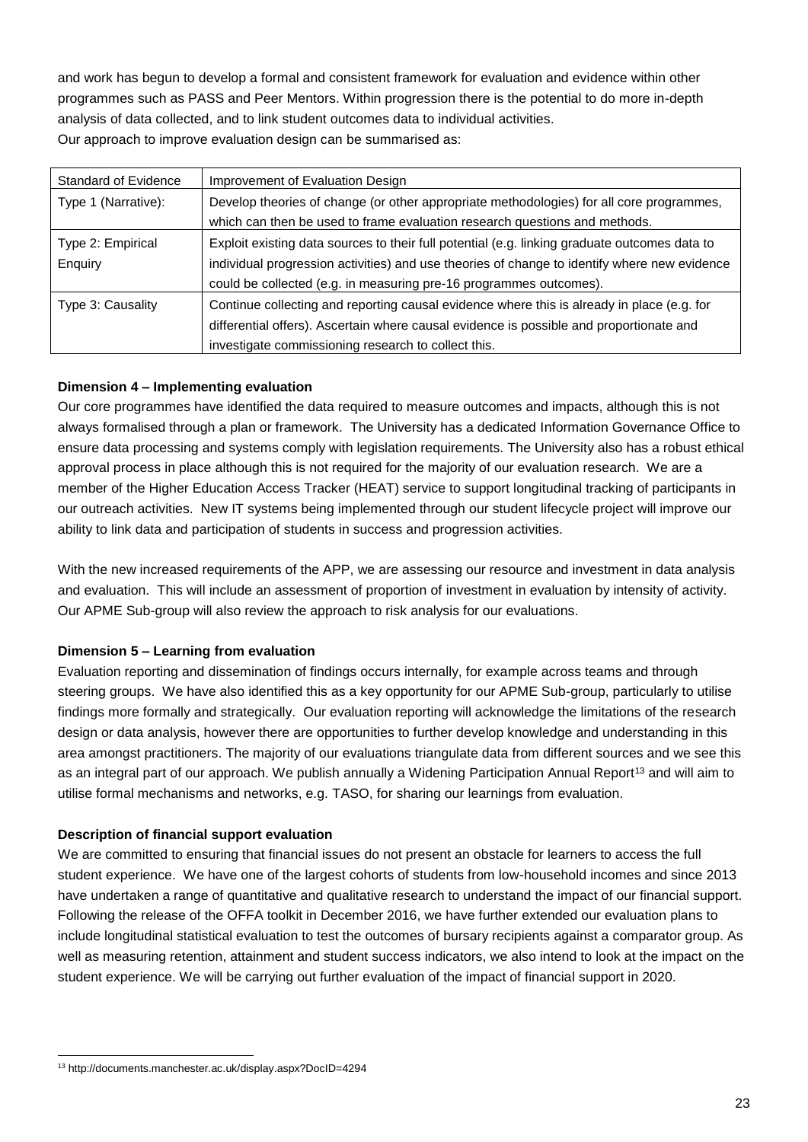and work has begun to develop a formal and consistent framework for evaluation and evidence within other programmes such as PASS and Peer Mentors. Within progression there is the potential to do more in-depth analysis of data collected, and to link student outcomes data to individual activities. Our approach to improve evaluation design can be summarised as:

| <b>Standard of Evidence</b> | Improvement of Evaluation Design                                                              |
|-----------------------------|-----------------------------------------------------------------------------------------------|
| Type 1 (Narrative):         | Develop theories of change (or other appropriate methodologies) for all core programmes,      |
|                             | which can then be used to frame evaluation research questions and methods.                    |
| Type 2: Empirical           | Exploit existing data sources to their full potential (e.g. linking graduate outcomes data to |
| Enquiry                     | individual progression activities) and use theories of change to identify where new evidence  |
|                             | could be collected (e.g. in measuring pre-16 programmes outcomes).                            |
| Type 3: Causality           | Continue collecting and reporting causal evidence where this is already in place (e.g. for    |
|                             | differential offers). Ascertain where causal evidence is possible and proportionate and       |
|                             | investigate commissioning research to collect this.                                           |

# **Dimension 4 – Implementing evaluation**

Our core programmes have identified the data required to measure outcomes and impacts, although this is not always formalised through a plan or framework. The University has a dedicated Information Governance Office to ensure data processing and systems comply with legislation requirements. The University also has a robust ethical approval process in place although this is not required for the majority of our evaluation research. We are a member of the Higher Education Access Tracker (HEAT) service to support longitudinal tracking of participants in our outreach activities. New IT systems being implemented through our student lifecycle project will improve our ability to link data and participation of students in success and progression activities.

With the new increased requirements of the APP, we are assessing our resource and investment in data analysis and evaluation. This will include an assessment of proportion of investment in evaluation by intensity of activity. Our APME Sub-group will also review the approach to risk analysis for our evaluations.

# **Dimension 5 – Learning from evaluation**

Evaluation reporting and dissemination of findings occurs internally, for example across teams and through steering groups. We have also identified this as a key opportunity for our APME Sub-group, particularly to utilise findings more formally and strategically. Our evaluation reporting will acknowledge the limitations of the research design or data analysis, however there are opportunities to further develop knowledge and understanding in this area amongst practitioners. The majority of our evaluations triangulate data from different sources and we see this as an integral part of our approach. We publish annually a Widening Participation Annual Report<sup>13</sup> and will aim to utilise formal mechanisms and networks, e.g. TASO, for sharing our learnings from evaluation.

# **Description of financial support evaluation**

We are committed to ensuring that financial issues do not present an obstacle for learners to access the full student experience. We have one of the largest cohorts of students from low-household incomes and since 2013 have undertaken a range of quantitative and qualitative research to understand the impact of our financial support. Following the release of the OFFA toolkit in December 2016, we have further extended our evaluation plans to include longitudinal statistical evaluation to test the outcomes of bursary recipients against a comparator group. As well as measuring retention, attainment and student success indicators, we also intend to look at the impact on the student experience. We will be carrying out further evaluation of the impact of financial support in 2020.

 $\overline{a}$ <sup>13</sup> http://documents.manchester.ac.uk/display.aspx?DocID=4294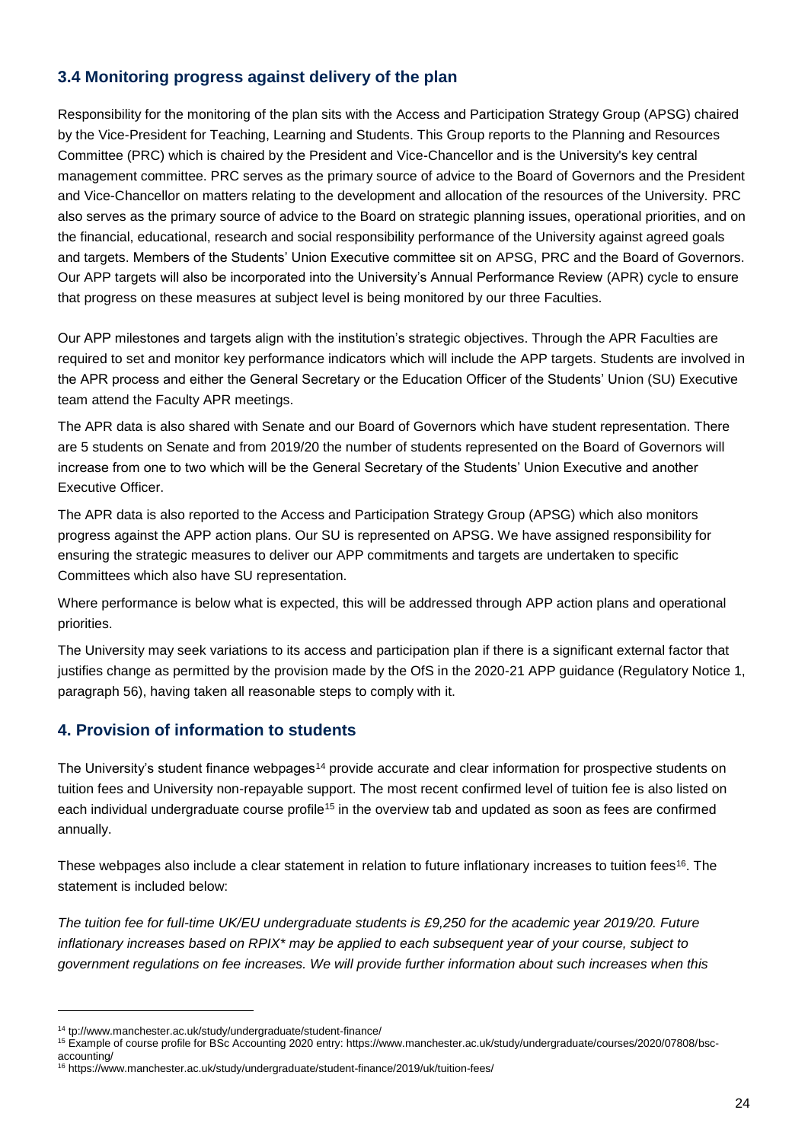# **3.4 Monitoring progress against delivery of the plan**

Responsibility for the monitoring of the plan sits with the Access and Participation Strategy Group (APSG) chaired by the Vice-President for Teaching, Learning and Students. This Group reports to the Planning and Resources Committee (PRC) which is chaired by the President and Vice-Chancellor and is the University's key central management committee. PRC serves as the primary source of advice to the Board of Governors and the President and Vice-Chancellor on matters relating to the development and allocation of the resources of the University. PRC also serves as the primary source of advice to the Board on strategic planning issues, operational priorities, and on the financial, educational, research and social responsibility performance of the University against agreed goals and targets. Members of the Students' Union Executive committee sit on APSG, PRC and the Board of Governors. Our APP targets will also be incorporated into the University's Annual Performance Review (APR) cycle to ensure that progress on these measures at subject level is being monitored by our three Faculties.

Our APP milestones and targets align with the institution's strategic objectives. Through the APR Faculties are required to set and monitor key performance indicators which will include the APP targets. Students are involved in the APR process and either the General Secretary or the Education Officer of the Students' Union (SU) Executive team attend the Faculty APR meetings.

The APR data is also shared with Senate and our Board of Governors which have student representation. There are 5 students on Senate and from 2019/20 the number of students represented on the Board of Governors will increase from one to two which will be the General Secretary of the Students' Union Executive and another Executive Officer.

The APR data is also reported to the Access and Participation Strategy Group (APSG) which also monitors progress against the APP action plans. Our SU is represented on APSG. We have assigned responsibility for ensuring the strategic measures to deliver our APP commitments and targets are undertaken to specific Committees which also have SU representation.

Where performance is below what is expected, this will be addressed through APP action plans and operational priorities.

The University may seek variations to its access and participation plan if there is a significant external factor that justifies change as permitted by the provision made by the OfS in the 2020-21 APP guidance (Regulatory Notice 1, paragraph 56), having taken all reasonable steps to comply with it.

# **4. Provision of information to students**

The University's student finance webpages<sup>14</sup> provide accurate and clear information for prospective students on tuition fees and University non-repayable support. The most recent confirmed level of tuition fee is also listed on each individual undergraduate course profile<sup>15</sup> in the overview tab and updated as soon as fees are confirmed annually.

These webpages also include a clear statement in relation to future inflationary increases to tuition fees<sup>16</sup>. The statement is included below:

*The tuition fee for full-time UK/EU undergraduate students is £9,250 for the academic year 2019/20. Future inflationary increases based on RPIX\* may be applied to each subsequent year of your course, subject to government regulations on fee increases. We will provide further information about such increases when this*

 $\overline{a}$ 

<sup>14</sup> tp://www.manchester.ac.uk/study/undergraduate/student-finance/

<sup>&</sup>lt;sup>15</sup> Example of course profile for BSc Accounting 2020 entry: https://www.manchester.ac.uk/study/undergraduate/courses/2020/07808/bscaccounting/

<sup>16</sup> https://www.manchester.ac.uk/study/undergraduate/student-finance/2019/uk/tuition-fees/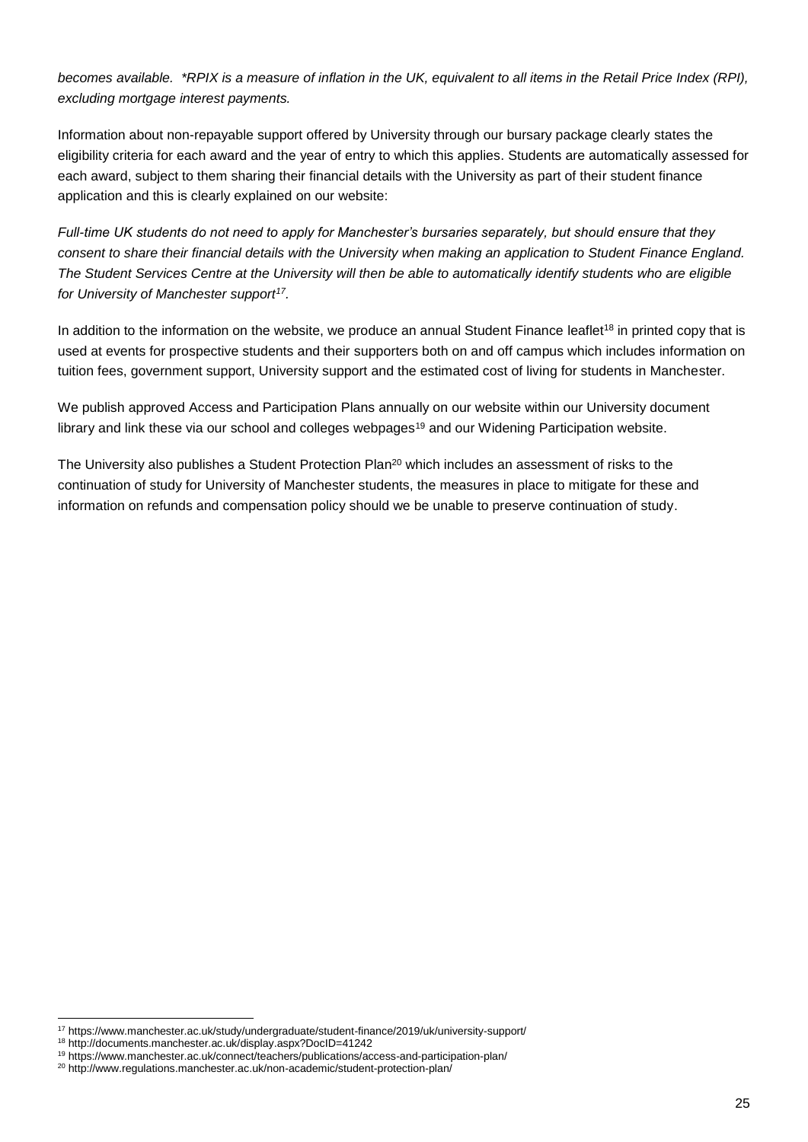*becomes available. \*RPIX is a measure of inflation in the UK, equivalent to all items in the Retail Price Index (RPI), excluding mortgage interest payments.*

Information about non-repayable support offered by University through our bursary package clearly states the eligibility criteria for each award and the year of entry to which this applies. Students are automatically assessed for each award, subject to them sharing their financial details with the University as part of their student finance application and this is clearly explained on our website:

*Full-time UK students do not need to apply for Manchester's bursaries separately, but should ensure that they consent to share their financial details with the University when making an application to Student Finance England. The Student Services Centre at the University will then be able to automatically identify students who are eligible for University of Manchester support<sup>17</sup> .*

In addition to the information on the website, we produce an annual Student Finance leaflet<sup>18</sup> in printed copy that is used at events for prospective students and their supporters both on and off campus which includes information on tuition fees, government support, University support and the estimated cost of living for students in Manchester.

We publish approved Access and Participation Plans annually on our website within our University document library and link these via our school and colleges webpages<sup>19</sup> and our Widening Participation website.

The University also publishes a Student Protection Plan<sup>20</sup> which includes an assessment of risks to the continuation of study for University of Manchester students, the measures in place to mitigate for these and information on refunds and compensation policy should we be unable to preserve continuation of study.

<sup>17</sup> https://www.manchester.ac.uk/study/undergraduate/student-finance/2019/uk/university-support/

<sup>18</sup> http://documents.manchester.ac.uk/display.aspx?DocID=41242

<sup>19</sup> https://www.manchester.ac.uk/connect/teachers/publications/access-and-participation-plan/

<sup>&</sup>lt;sup>20</sup> <http://www.regulations.manchester.ac.uk/non-academic/student-protection-plan/>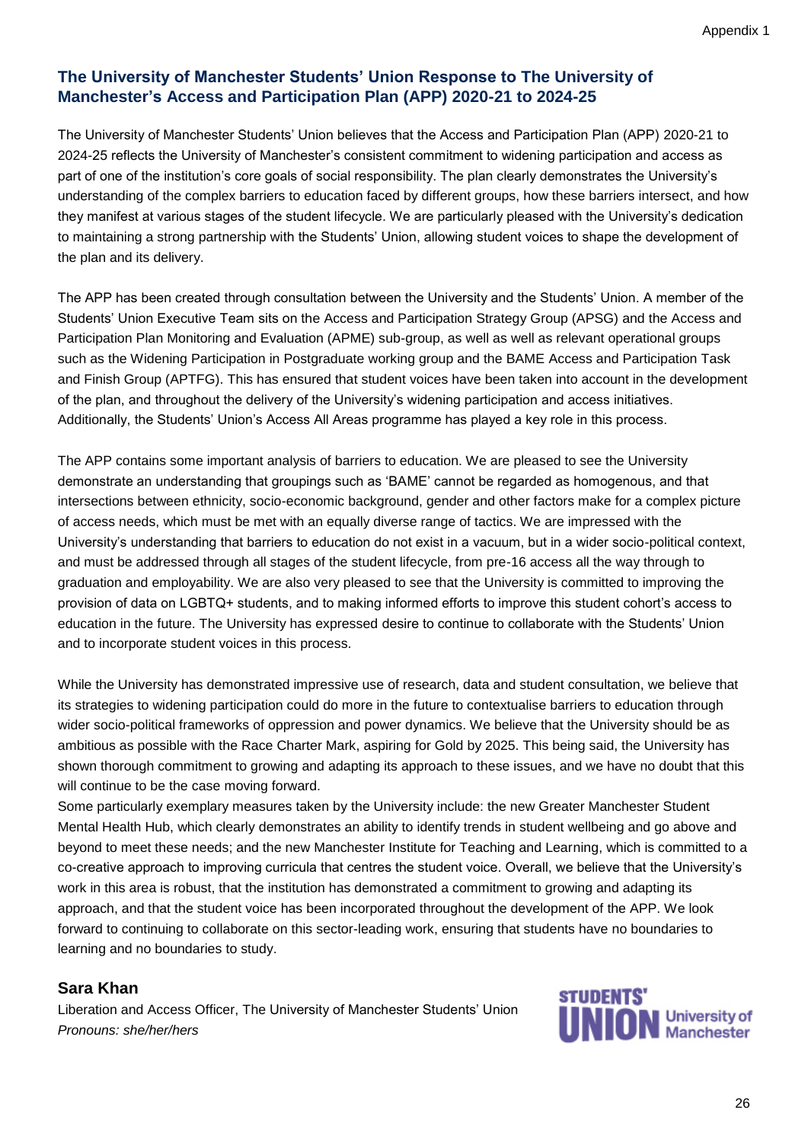# **The University of Manchester Students' Union Response to The University of Manchester's Access and Participation Plan (APP) 2020-21 to 2024-25**

The University of Manchester Students' Union believes that the Access and Participation Plan (APP) 2020-21 to 2024-25 reflects the University of Manchester's consistent commitment to widening participation and access as part of one of the institution's core goals of social responsibility. The plan clearly demonstrates the University's understanding of the complex barriers to education faced by different groups, how these barriers intersect, and how they manifest at various stages of the student lifecycle. We are particularly pleased with the University's dedication to maintaining a strong partnership with the Students' Union, allowing student voices to shape the development of the plan and its delivery.

The APP has been created through consultation between the University and the Students' Union. A member of the Students' Union Executive Team sits on the Access and Participation Strategy Group (APSG) and the Access and Participation Plan Monitoring and Evaluation (APME) sub-group, as well as well as relevant operational groups such as the Widening Participation in Postgraduate working group and the BAME Access and Participation Task and Finish Group (APTFG). This has ensured that student voices have been taken into account in the development of the plan, and throughout the delivery of the University's widening participation and access initiatives. Additionally, the Students' Union's Access All Areas programme has played a key role in this process.

The APP contains some important analysis of barriers to education. We are pleased to see the University demonstrate an understanding that groupings such as 'BAME' cannot be regarded as homogenous, and that intersections between ethnicity, socio-economic background, gender and other factors make for a complex picture of access needs, which must be met with an equally diverse range of tactics. We are impressed with the University's understanding that barriers to education do not exist in a vacuum, but in a wider socio-political context, and must be addressed through all stages of the student lifecycle, from pre-16 access all the way through to graduation and employability. We are also very pleased to see that the University is committed to improving the provision of data on LGBTQ+ students, and to making informed efforts to improve this student cohort's access to education in the future. The University has expressed desire to continue to collaborate with the Students' Union and to incorporate student voices in this process.

While the University has demonstrated impressive use of research, data and student consultation, we believe that its strategies to widening participation could do more in the future to contextualise barriers to education through wider socio-political frameworks of oppression and power dynamics. We believe that the University should be as ambitious as possible with the Race Charter Mark, aspiring for Gold by 2025. This being said, the University has shown thorough commitment to growing and adapting its approach to these issues, and we have no doubt that this will continue to be the case moving forward.

Some particularly exemplary measures taken by the University include: the new Greater Manchester Student Mental Health Hub, which clearly demonstrates an ability to identify trends in student wellbeing and go above and beyond to meet these needs; and the new Manchester Institute for Teaching and Learning, which is committed to a co-creative approach to improving curricula that centres the student voice. Overall, we believe that the University's work in this area is robust, that the institution has demonstrated a commitment to growing and adapting its approach, and that the student voice has been incorporated throughout the development of the APP. We look forward to continuing to collaborate on this sector-leading work, ensuring that students have no boundaries to learning and no boundaries to study.

# **Sara Khan**

Liberation and Access Officer, The University of Manchester Students' Union *Pronouns: she/her/hers*

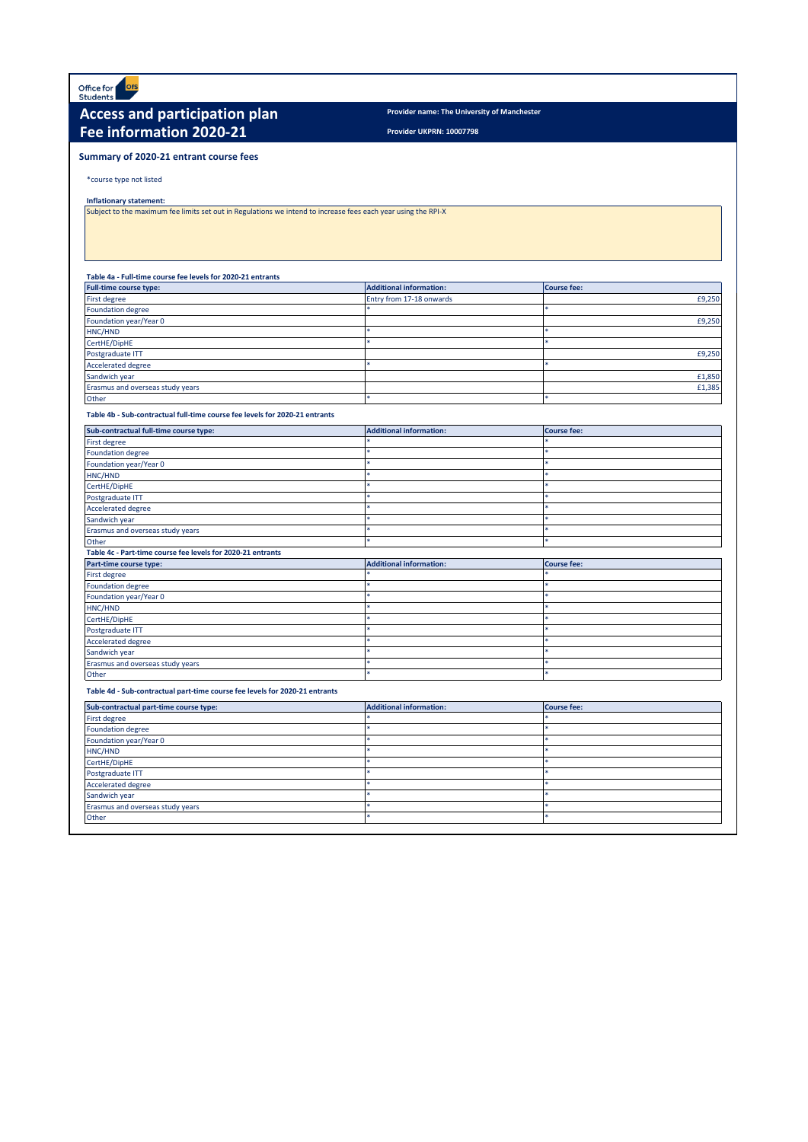Office for<br>Students **ofs** 

# **Access and participation plan** *Provider name: The University of Manchester* **Fee information 2020-21**

**Provider UKPRN: 10007798**

#### **Summary of 2020-21 entrant course fees**

#### \*course type not listed

#### **Inflationary statement:**

Subject to the maximum fee limits set out in Regulations we intend to increase fees each year using the RPI-X

#### **Table 4a - Full-time course fee levels for 2020-21 entrants**

| <b>Full-time course type:</b>    | <b>Additional information:</b> | <b>Course fee:</b> |
|----------------------------------|--------------------------------|--------------------|
| First degree                     | Entry from 17-18 onwards       | £9,250             |
| Foundation degree                |                                |                    |
| Foundation year/Year 0           |                                | £9,250             |
| HNC/HND                          |                                |                    |
| CertHE/DipHE                     |                                |                    |
| Postgraduate ITT                 |                                | £9,250             |
| <b>Accelerated degree</b>        |                                |                    |
| Sandwich year                    |                                | £1,850             |
| Erasmus and overseas study years |                                | £1,385             |
| Other                            |                                |                    |

#### **Table 4b - Sub-contractual full-time course fee levels for 2020-21 entrants**

| Sub-contractual full-time course type:                      | <b>Additional information:</b> | <b>Course fee:</b> |  |
|-------------------------------------------------------------|--------------------------------|--------------------|--|
| First degree                                                |                                |                    |  |
| <b>Foundation degree</b>                                    |                                |                    |  |
| Foundation year/Year 0                                      |                                |                    |  |
| HNC/HND                                                     |                                |                    |  |
| CertHE/DipHE                                                |                                |                    |  |
| Postgraduate ITT                                            |                                | ä,                 |  |
| <b>Accelerated degree</b>                                   |                                |                    |  |
| Sandwich year                                               |                                |                    |  |
| Erasmus and overseas study years                            |                                |                    |  |
| Other                                                       |                                | sk.                |  |
| Table 4c - Part-time course fee levels for 2020-21 entrants |                                |                    |  |
|                                                             |                                |                    |  |
| Part-time course type:                                      | <b>Additional information:</b> | <b>Course fee:</b> |  |
| <b>First degree</b>                                         |                                |                    |  |
| <b>Foundation degree</b>                                    |                                | ste                |  |
| Foundation year/Year 0                                      |                                |                    |  |
| HNC/HND                                                     |                                |                    |  |
| CertHE/DipHE                                                |                                |                    |  |
| Postgraduate ITT                                            |                                |                    |  |
| <b>Accelerated degree</b>                                   |                                |                    |  |
| Sandwich year                                               |                                |                    |  |
| Erasmus and overseas study years                            | ×                              | sk.                |  |

#### **Table 4d - Sub-contractual part-time course fee levels for 2020-21 entrants**

| Sub-contractual part-time course type: | <b>Additional information:</b> | <b>Course fee:</b> |
|----------------------------------------|--------------------------------|--------------------|
| First degree                           |                                |                    |
| <b>Foundation degree</b>               |                                |                    |
| Foundation year/Year 0                 |                                |                    |
| HNC/HND                                |                                |                    |
| CertHE/DipHE                           |                                |                    |
| Postgraduate ITT                       |                                |                    |
| <b>Accelerated degree</b>              |                                |                    |
| Sandwich year                          |                                |                    |
| Erasmus and overseas study years       |                                |                    |
| Other                                  |                                |                    |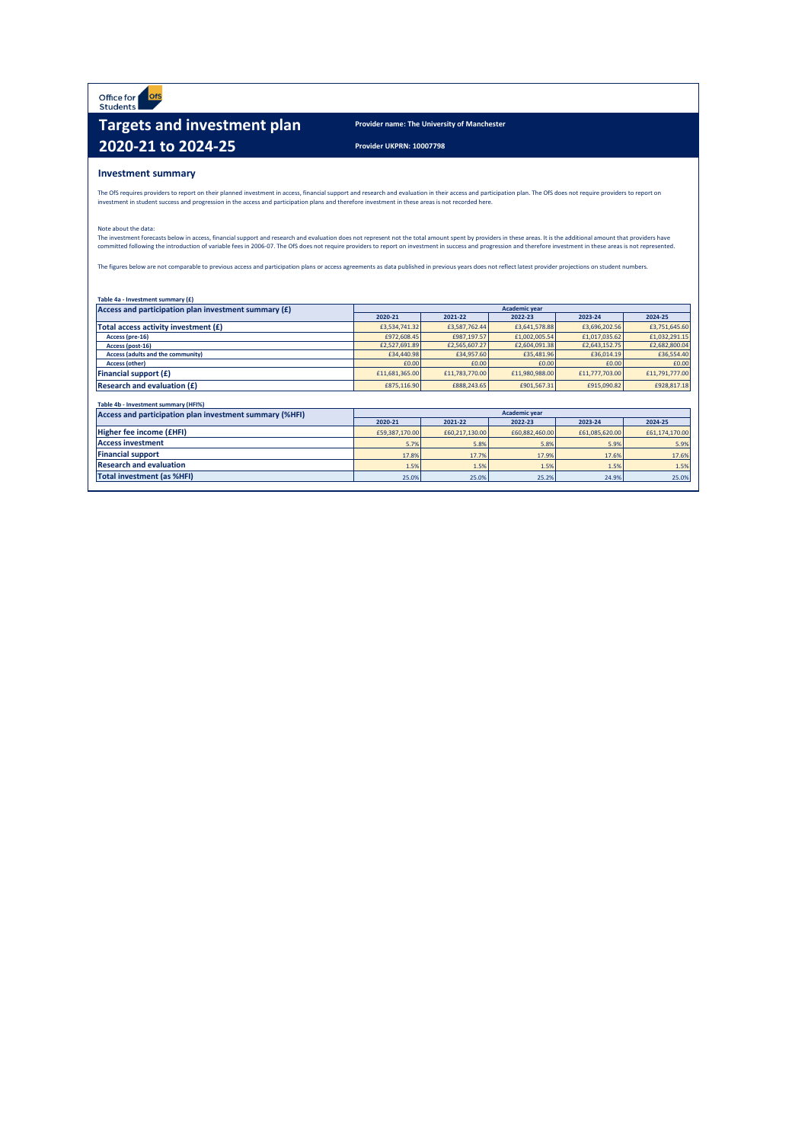Office for ofs

# **Targets and investment plan Provider name: The University of Manchester 2020-21 to 2024-25 Provider UKPRN: 10007798**

#### **Investment summary**

The OfS requires providers to report on their planned investment in access, financial support and research and evaluation in their access and participation plan. The OfS does not require providers to report on<br>investment i

#### Note about the data:

The investment forecasts below in access, financial support and research and evaluation does not represent not the total amount spent by providers in these areas. It is the additional amount that providers have<br>committed f

The figures below are not comparable to previous access and participation plans or access agreements as data published in previous years does not reflect latest provider projections on student numbers.

| Access and participation plan investment summary (£) | Academic year  |                |                |                |                |  |  |  |  |  |
|------------------------------------------------------|----------------|----------------|----------------|----------------|----------------|--|--|--|--|--|
|                                                      | 2020-21        | 2021-22        |                | 2023-24        | 2024-25        |  |  |  |  |  |
| Total access activity investment (£)                 | £3,534,741.32  | £3,587,762.44  | £3,641,578.88  | £3,696,202.56  | £3,751,645.60  |  |  |  |  |  |
| Access (pre-16)                                      | £972,608.45    | £987.197.57    | £1,002,005.54  | £1,017,035.62  | £1,032,291.15  |  |  |  |  |  |
| Access (post-16)                                     | £2,527,691.89  | £2,565,607.27  | £2,604,091.38  | £2,643,152.75  | £2,682,800.04  |  |  |  |  |  |
| Access (adults and the community)                    | £34,440.98     | £34,957.60     | £35,481.96     | £36,014.19     | £36,554.40     |  |  |  |  |  |
| <b>Access (other)</b>                                | £0.00          | £0.00          | £0.00          | £0.00          | £0.00          |  |  |  |  |  |
| Financial support (£)                                | £11,681,365.00 | £11,783,770.00 | £11,980,988.00 | £11,777,703.00 | £11,791,777.00 |  |  |  |  |  |
| <b>Research and evaluation (£)</b>                   | £875,116.90    | £888,243,65    | £901,567.31    | £915,090.82    | £928,817.18    |  |  |  |  |  |
|                                                      |                |                |                |                |                |  |  |  |  |  |
| Table 4b - Investment summary (HFI%)                 |                |                |                |                |                |  |  |  |  |  |

| Access and participation plan investment summary (%HFI) | <b>Academic year</b> |                |                |                |                |  |  |  |  |  |
|---------------------------------------------------------|----------------------|----------------|----------------|----------------|----------------|--|--|--|--|--|
|                                                         | 2020-21              | 2021-22        | 2022-23        | 2023-24        | 2024-25        |  |  |  |  |  |
| Higher fee income (£HFI)                                | £59,387,170,00       | £60,217,130,00 | £60,882,460,00 | £61.085.620.00 | £61.174.170.00 |  |  |  |  |  |
| <b>Access investment</b>                                | 5.7%                 | 5.8%           | 5.8%           | 5.9%           | 5.9%           |  |  |  |  |  |
| <b>Financial support</b>                                | 17.8%                | 17.7%          | 17.9%          | 17.6%          | 17.6%          |  |  |  |  |  |
| <b>Research and evaluation</b>                          | 1.5%                 | 1.5%           | 1.5%           | 1.5%           | 1.5%           |  |  |  |  |  |
| Total investment (as %HFI)                              | 25.0%                | 25.0%          | 25.2%          | 24.9%          | 25.0%          |  |  |  |  |  |
|                                                         |                      |                |                |                |                |  |  |  |  |  |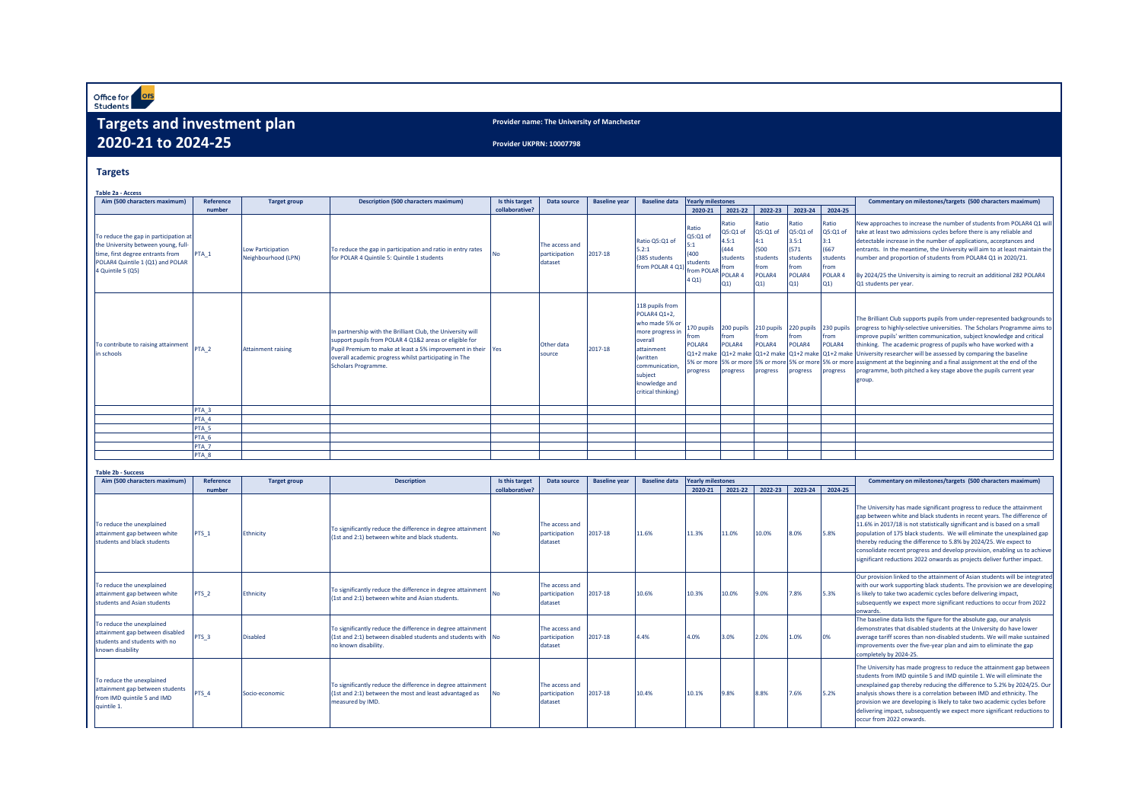Office for Ofs

# **Targets and investment plan 2020-21 to 2024-25**

**Provider name: The University of Manchester**

**Provider UKPRN: 10007798**

#### **Targets**

| <b>Table 2a - Access</b>                                                                                                                                                  |                  |                                                 |                                                                                                                                                                                                                                                                       |                |                                            |                      |                                                                                                                                                                                        |                                                                      |                                                                                     |                                                                       |                                                                           |                                                                              |                                                                                                                                                                                                                                                                                                                                                                                                                                                                                                                                                                                                                                                 |
|---------------------------------------------------------------------------------------------------------------------------------------------------------------------------|------------------|-------------------------------------------------|-----------------------------------------------------------------------------------------------------------------------------------------------------------------------------------------------------------------------------------------------------------------------|----------------|--------------------------------------------|----------------------|----------------------------------------------------------------------------------------------------------------------------------------------------------------------------------------|----------------------------------------------------------------------|-------------------------------------------------------------------------------------|-----------------------------------------------------------------------|---------------------------------------------------------------------------|------------------------------------------------------------------------------|-------------------------------------------------------------------------------------------------------------------------------------------------------------------------------------------------------------------------------------------------------------------------------------------------------------------------------------------------------------------------------------------------------------------------------------------------------------------------------------------------------------------------------------------------------------------------------------------------------------------------------------------------|
| Aim (500 characters maximum)                                                                                                                                              | Reference        | <b>Target group</b>                             | <b>Description (500 characters maximum)</b>                                                                                                                                                                                                                           | Is this target | Data source                                | <b>Baseline year</b> | <b>Baseline data</b>                                                                                                                                                                   | <b>Yearly milestones</b>                                             |                                                                                     |                                                                       |                                                                           |                                                                              | Commentary on milestones/targets (500 characters maximum)                                                                                                                                                                                                                                                                                                                                                                                                                                                                                                                                                                                       |
|                                                                                                                                                                           | number           |                                                 |                                                                                                                                                                                                                                                                       | collaborative? |                                            |                      |                                                                                                                                                                                        | 2020-21                                                              | 2021-22                                                                             | 2022-23                                                               | 2023-24                                                                   | 2024-25                                                                      |                                                                                                                                                                                                                                                                                                                                                                                                                                                                                                                                                                                                                                                 |
| To reduce the gap in participation at<br>the University between young, full-<br>time, first degree entrants from<br>POLAR4 Quintile 1 (Q1) and POLAR<br>4 Quintile 5 (Q5) | PTA <sub>1</sub> | <b>Low Participation</b><br>Neighbourhood (LPN) | To reduce the gap in participation and ratio in entry rates<br>for POLAR 4 Quintile 5: Quintile 1 students                                                                                                                                                            | <b>No</b>      | The access and<br>participation<br>dataset | 2017-18              | Ratio Q5:Q1 of<br>5.2:1<br>(385 students)<br>from POLAR 4 Q1)                                                                                                                          | Ratio<br>Q5:Q1 of<br>5:1<br>(400)<br>students<br>from POLAR<br>4 Q1) | Ratio<br>Q5:Q1 o<br>4.5:1<br>(444<br>students<br>from<br>POLAR <sub>4</sub><br>Q(1) | Ratio<br>Q5:Q1 of<br>4:1<br>(500)<br>students<br>from<br>POLAR4<br>Q1 | Ratio<br>Q5:Q1 o<br>3.5:1<br>(571)<br>students<br>from<br>POLAR4<br>$Q_1$ | Ratio<br>Q5:Q1 of<br>3:1<br>(667<br>students<br>from<br><b>POLAR</b><br>Q(1) | New approaches to increase the number of students from POLAR4 Q1 will<br>take at least two admissions cycles before there is any reliable and<br>detectable increase in the number of applications, acceptances and<br>entrants. In the meantime, the University will aim to at least maintain the<br>number and proportion of students from POLAR4 Q1 in 2020/21.<br>By 2024/25 the University is aiming to recruit an additional 282 POLAR4<br>Q1 students per year.                                                                                                                                                                          |
| To contribute to raising attainment<br>in schools                                                                                                                         | PTA <sub>2</sub> | <b>Attainment raising</b>                       | In partnership with the Brilliant Club, the University will<br>support pupils from POLAR 4 Q1&2 areas or eligible for<br>Pupil Premium to make at least a 5% improvement in their Yes<br>overall academic progress whilst participating in The<br>Scholars Programme. |                | Other data<br>source                       | 2017-18              | 118 pupils from<br>POLAR4 Q1+2.<br>who made 5% or<br>more progress in<br>overall<br>attainment<br><i>(written)</i><br>communication.<br>subiect<br>knowledge and<br>critical thinking) | 170 pupils<br>from<br>POLAR4<br>progress                             | 200 pupils<br>from<br>POLAR4<br>progress                                            | 210 pupils<br>from<br>POLAR4<br>progress                              | 220 pupils<br><b>Ifrom</b><br>POLAR4<br>progress                          | 230 pupils<br>from<br>POLAR4<br>progress                                     | The Brilliant Club supports pupils from under-represented backgrounds to<br>progress to highly-selective universities. The Scholars Programme aims to<br>improve pupils' written communication, subject knowledge and critical<br>thinking. The academic progress of pupils who have worked with a<br>$Q1+2$ make $Q1+2$ make $Q1+2$ make $Q1+2$ make $Q1+2$ make University researcher will be assessed by comparing the baseline<br>5% or more 5% or more 5% or more 5% or more 5% or more assignment at the beginning and a final assignment at the end of the<br>programme, both pitched a key stage above the pupils current year<br>group |
|                                                                                                                                                                           | PTA <sub>3</sub> |                                                 |                                                                                                                                                                                                                                                                       |                |                                            |                      |                                                                                                                                                                                        |                                                                      |                                                                                     |                                                                       |                                                                           |                                                                              |                                                                                                                                                                                                                                                                                                                                                                                                                                                                                                                                                                                                                                                 |
|                                                                                                                                                                           | PTA 4            |                                                 |                                                                                                                                                                                                                                                                       |                |                                            |                      |                                                                                                                                                                                        |                                                                      |                                                                                     |                                                                       |                                                                           |                                                                              |                                                                                                                                                                                                                                                                                                                                                                                                                                                                                                                                                                                                                                                 |
|                                                                                                                                                                           | PTA <sub>5</sub> |                                                 |                                                                                                                                                                                                                                                                       |                |                                            |                      |                                                                                                                                                                                        |                                                                      |                                                                                     |                                                                       |                                                                           |                                                                              |                                                                                                                                                                                                                                                                                                                                                                                                                                                                                                                                                                                                                                                 |
|                                                                                                                                                                           | PTA 6            |                                                 |                                                                                                                                                                                                                                                                       |                |                                            |                      |                                                                                                                                                                                        |                                                                      |                                                                                     |                                                                       |                                                                           |                                                                              |                                                                                                                                                                                                                                                                                                                                                                                                                                                                                                                                                                                                                                                 |
|                                                                                                                                                                           | PTA <sub>7</sub> |                                                 |                                                                                                                                                                                                                                                                       |                |                                            |                      |                                                                                                                                                                                        |                                                                      |                                                                                     |                                                                       |                                                                           |                                                                              |                                                                                                                                                                                                                                                                                                                                                                                                                                                                                                                                                                                                                                                 |
|                                                                                                                                                                           | PTA <sub>8</sub> |                                                 |                                                                                                                                                                                                                                                                       |                |                                            |                      |                                                                                                                                                                                        |                                                                      |                                                                                     |                                                                       |                                                                           |                                                                              |                                                                                                                                                                                                                                                                                                                                                                                                                                                                                                                                                                                                                                                 |

|  | <b>Table 2b - Success</b> |
|--|---------------------------|

| Aim (500 characters maximum)                                                                                      | Reference        | <b>Target group</b> | <b>Description</b>                                                                                                                                  | Is this target | Data source                                | <b>Baseline vear</b> | <b>Baseline data</b> | <b>Yearly milestones</b> |         |         |         |         | Commentary on milestones/targets (500 characters maximum)                                                                                                                                                                                                                                                                                                                                                                                                                                                                            |
|-------------------------------------------------------------------------------------------------------------------|------------------|---------------------|-----------------------------------------------------------------------------------------------------------------------------------------------------|----------------|--------------------------------------------|----------------------|----------------------|--------------------------|---------|---------|---------|---------|--------------------------------------------------------------------------------------------------------------------------------------------------------------------------------------------------------------------------------------------------------------------------------------------------------------------------------------------------------------------------------------------------------------------------------------------------------------------------------------------------------------------------------------|
|                                                                                                                   | number           |                     |                                                                                                                                                     | collaborative? |                                            |                      |                      | 2020-21                  | 2021-22 | 2022-23 | 2023-24 | 2024-25 |                                                                                                                                                                                                                                                                                                                                                                                                                                                                                                                                      |
| To reduce the unexplained<br>attainment gap between white<br>students and black students                          | PTS <sub>1</sub> | Ethnicity           | To significantly reduce the difference in degree attainment<br>(1st and 2:1) between white and black students.                                      |                | The access and<br>participation<br>dataset | 2017-18              | 11.6%                | 11.3%                    | 11.0%   | 10.0%   | 8.0%    | 5.8%    | The University has made significant progress to reduce the attainment<br>gap between white and black students in recent years. The difference of<br>11.6% in 2017/18 is not statistically significant and is based on a small<br>population of 175 black students. We will eliminate the unexplained gap<br>thereby reducing the difference to 5.8% by 2024/25. We expect to<br>consolidate recent progress and develop provision, enabling us to achieve<br>significant reductions 2022 onwards as projects deliver further impact. |
| To reduce the unexplained<br>attainment gap between white<br>students and Asian students                          | PTS <sub>2</sub> | Ethnicity           | To significantly reduce the difference in degree attainment<br>(1st and 2:1) between white and Asian students.                                      | No             | The access and<br>participation<br>dataset | 2017-18              | 10.6%                | 10.3%                    | 10.0%   | 9.0%    | 7.8%    | 5.3%    | Our provision linked to the attainment of Asian students will be integrated<br>with our work supporting black students. The provision we are developing<br>is likely to take two academic cycles before delivering impact,<br>subsequently we expect more significant reductions to occur from 2022<br>onwards                                                                                                                                                                                                                       |
| To reduce the unexplained<br>attainment gap between disabled<br>students and students with no<br>known disability | PTS <sub>3</sub> | <b>Disabled</b>     | To significantly reduce the difference in degree attainment<br>(1st and 2:1) between disabled students and students with No<br>no known disability. |                | The access and<br>participation<br>dataset | 2017-18              | 4.4%                 | 4.0%                     | 3.0%    | 2.0%    | 1.0%    | 0%      | The baseline data lists the figure for the absolute gap, our analysis<br>demonstrates that disabled students at the University do have lower<br>average tariff scores than non-disabled students. We will make sustained<br>improvements over the five-year plan and aim to eliminate the gap<br>completely by 2024-25.                                                                                                                                                                                                              |
| To reduce the unexplained<br>attainment gap between students<br>from IMD quintile 5 and IMD<br>quintile 1.        | PTS <sub>4</sub> | Socio-economic      | To significantly reduce the difference in degree attainment<br>(1st and 2:1) between the most and least advantaged as<br>measured by IMD.           |                | The access and<br>participation<br>dataset | 2017-18              | 10.4%                | 10.1%                    | 9.8%    | 8.8%    | 7.6%    | 5.2%    | The University has made progress to reduce the attainment gap between<br>students from IMD quintile 5 and IMD quintile 1. We will eliminate the<br>unexplained gap thereby reducing the difference to 5.2% by 2024/25. Our<br>analysis shows there is a correlation between IMD and ethnicity. The<br>provision we are developing is likely to take two academic cycles before<br>delivering impact, subsequently we expect more significant reductions to<br>occur from 2022 onwards.                                               |